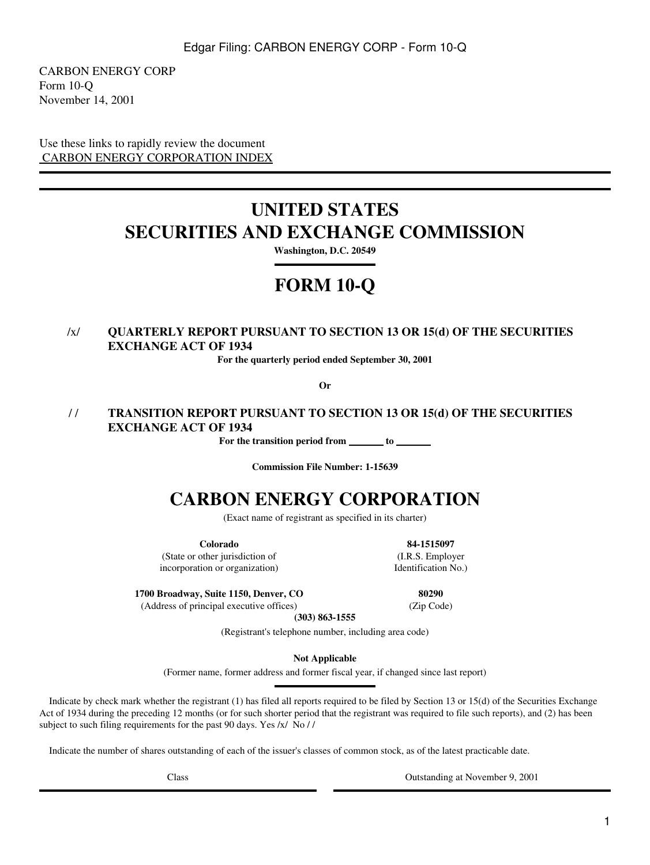CARBON ENERGY CORP Form 10-Q November 14, 2001

Use these links to rapidly review the document  [CARBON ENERGY CORPORATION INDEX](#page-1-0)

# **UNITED STATES SECURITIES AND EXCHANGE COMMISSION**

**Washington, D.C. 20549**

# **FORM 10-Q**

# /x/ **QUARTERLY REPORT PURSUANT TO SECTION 13 OR 15(d) OF THE SECURITIES EXCHANGE ACT OF 1934**

**For the quarterly period ended September 30, 2001**

**Or**

### / / **TRANSITION REPORT PURSUANT TO SECTION 13 OR 15(d) OF THE SECURITIES EXCHANGE ACT OF 1934**

For the transition period from <u>to</u> to

**Commission File Number: 1-15639**

# **CARBON ENERGY CORPORATION**

(Exact name of registrant as specified in its charter)

**Colorado** (State or other jurisdiction of incorporation or organization)

**1700 Broadway, Suite 1150, Denver, CO**

(Address of principal executive offices)

**84-1515097** (I.R.S. Employer Identification No.)

**80290**

(Zip Code)

**(303) 863-1555**

(Registrant's telephone number, including area code)

**Not Applicable**

(Former name, former address and former fiscal year, if changed since last report)

 Indicate by check mark whether the registrant (1) has filed all reports required to be filed by Section 13 or 15(d) of the Securities Exchange Act of 1934 during the preceding 12 months (or for such shorter period that the registrant was required to file such reports), and (2) has been subject to such filing requirements for the past 90 days. Yes /x/ No / /

Indicate the number of shares outstanding of each of the issuer's classes of common stock, as of the latest practicable date.

Class Outstanding at November 9, 2001

1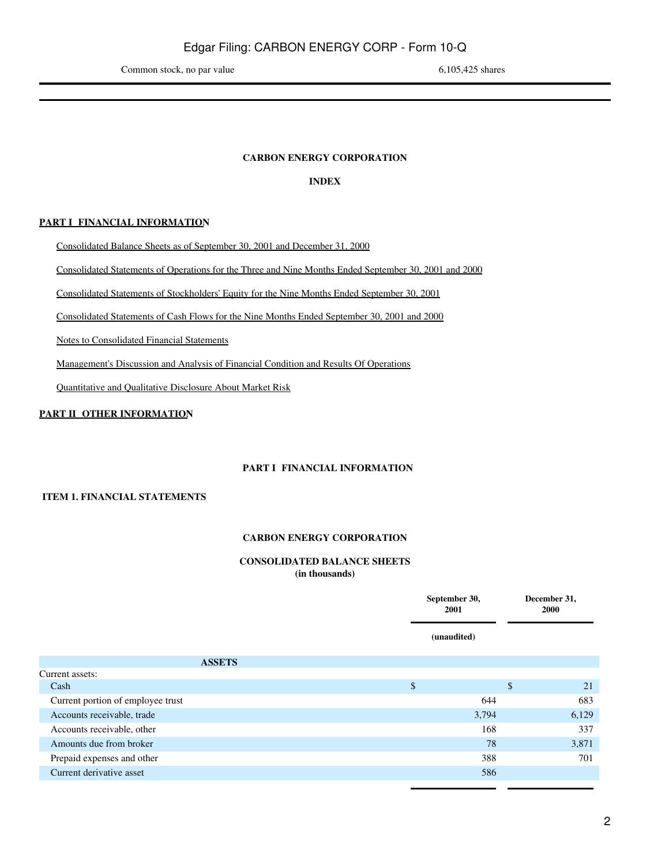### **CARBON ENERGY CORPORATION**

### **INDEX**

### <span id="page-1-0"></span>**PART I FINANCIAL INFORMATION**

[Consolidated Balance Sheets as of September 30, 2001 and December 31, 2000](#page-1-2)

[Consolidated Statements of Operations for the Three and Nine Months Ended September 30, 2001 and 2000](#page-3-0)

[Consolidated Statements of Stockholders' Equity for the Nine Months Ended September 30, 2001](#page-4-0)

[Consolidated Statements of Cash Flows for the Nine Months Ended September 30, 2001 and 2000](#page-5-0)

[Notes to Consolidated Financial Statements](#page-6-0)

[Management's Discussion and Analysis of Financial Condition and Results Of Operations](#page-12-0)

[Quantitative and Qualitative Disclosure About Market Risk](#page-19-0)

### <span id="page-1-2"></span><span id="page-1-1"></span>**PART II OTHER INFORMATION**

### **PART I FINANCIAL INFORMATION**

### **ITEM 1. FINANCIAL STATEMENTS**

### **CARBON ENERGY CORPORATION**

### **CONSOLIDATED BALANCE SHEETS (in thousands)**

|                                   | September 30,<br>2001 |             | December 31,<br><b>2000</b> |
|-----------------------------------|-----------------------|-------------|-----------------------------|
|                                   |                       | (unaudited) |                             |
| <b>ASSETS</b>                     |                       |             |                             |
| Current assets:                   |                       |             |                             |
| Cash                              | \$                    |             | \$<br>21                    |
| Current portion of employee trust |                       | 644         | 683                         |
| Accounts receivable, trade        |                       | 3,794       | 6,129                       |
| Accounts receivable, other        |                       | 168         | 337                         |
| Amounts due from broker           |                       | 78          | 3,871                       |
| Prepaid expenses and other        |                       | 388         | 701                         |
| Current derivative asset          |                       | 586         |                             |
|                                   |                       |             |                             |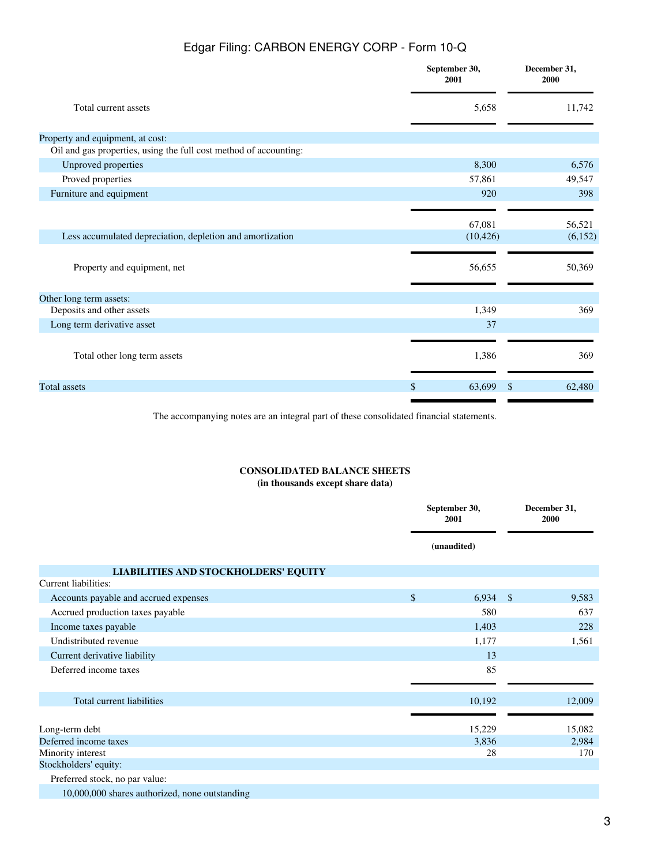|                                                                   | September 30,<br>2001 | December 31,<br>2000    |
|-------------------------------------------------------------------|-----------------------|-------------------------|
| Total current assets                                              | 5,658                 | 11,742                  |
| Property and equipment, at cost:                                  |                       |                         |
| Oil and gas properties, using the full cost method of accounting: |                       |                         |
| Unproved properties                                               | 8,300                 | 6,576                   |
| Proved properties                                                 | 57,861                | 49,547                  |
| Furniture and equipment                                           | 920                   | 398                     |
|                                                                   | 67,081                | 56,521                  |
| Less accumulated depreciation, depletion and amortization         | (10, 426)             | (6,152)                 |
| Property and equipment, net                                       | 56,655                | 50,369                  |
| Other long term assets:                                           |                       |                         |
| Deposits and other assets                                         | 1,349                 | 369                     |
| Long term derivative asset                                        | 37                    |                         |
| Total other long term assets                                      | 1,386                 | 369                     |
| <b>Total</b> assets                                               | \$<br>63,699          | 62,480<br><sup>\$</sup> |
|                                                                   |                       |                         |

The accompanying notes are an integral part of these consolidated financial statements.

### **CONSOLIDATED BALANCE SHEETS (in thousands except share data)**

|                                                | September 30,<br>2001 |               | December 31,<br>2000 |
|------------------------------------------------|-----------------------|---------------|----------------------|
|                                                | (unaudited)           |               |                      |
| LIABILITIES AND STOCKHOLDERS' EQUITY           |                       |               |                      |
| Current liabilities:                           |                       |               |                      |
| Accounts payable and accrued expenses          | \$<br>6,934           | $\mathcal{S}$ | 9,583                |
| Accrued production taxes payable               | 580                   |               | 637                  |
| Income taxes payable                           | 1,403                 |               | 228                  |
| Undistributed revenue                          | 1,177                 |               | 1,561                |
| Current derivative liability                   | 13                    |               |                      |
| Deferred income taxes                          | 85                    |               |                      |
|                                                |                       |               |                      |
| Total current liabilities                      | 10,192                |               | 12,009               |
|                                                |                       |               |                      |
| Long-term debt                                 | 15,229                |               | 15,082               |
| Deferred income taxes                          | 3,836                 |               | 2,984                |
| Minority interest                              | 28                    |               | 170                  |
| Stockholders' equity:                          |                       |               |                      |
| Preferred stock, no par value:                 |                       |               |                      |
| 10,000,000 shares authorized, none outstanding |                       |               |                      |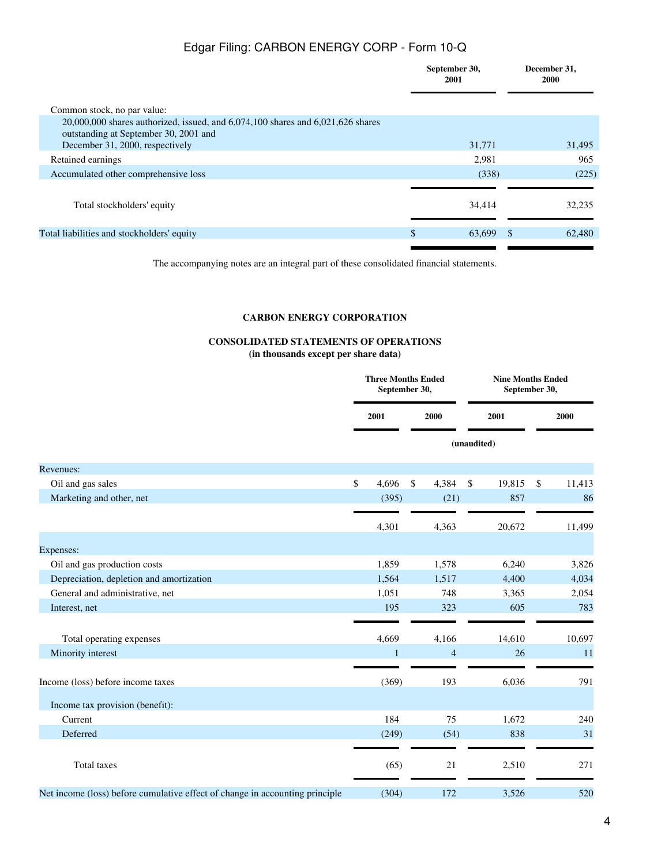|                                                                                                                                | September 30,<br>2001 |          | December 31,<br><b>2000</b> |
|--------------------------------------------------------------------------------------------------------------------------------|-----------------------|----------|-----------------------------|
| Common stock, no par value:                                                                                                    |                       |          |                             |
| $20,000,000$ shares authorized, issued, and $6,074,100$ shares and $6,021,626$ shares<br>outstanding at September 30, 2001 and |                       |          |                             |
| December 31, 2000, respectively                                                                                                | 31,771                |          | 31,495                      |
| Retained earnings                                                                                                              | 2,981                 |          | 965                         |
| Accumulated other comprehensive loss                                                                                           | (338)                 |          | (225)                       |
| Total stockholders' equity                                                                                                     | 34,414                |          | 32,235                      |
| Total liabilities and stockholders' equity                                                                                     | \$<br>63,699          | <b>S</b> | 62,480                      |
|                                                                                                                                |                       |          |                             |

The accompanying notes are an integral part of these consolidated financial statements.

### **CARBON ENERGY CORPORATION**

### **CONSOLIDATED STATEMENTS OF OPERATIONS (in thousands except per share data)**

<span id="page-3-0"></span>

|                                                                              |    | <b>Three Months Ended</b><br>September 30, |    |                | <b>Nine Months Ended</b><br>September 30, |        |      |        |
|------------------------------------------------------------------------------|----|--------------------------------------------|----|----------------|-------------------------------------------|--------|------|--------|
|                                                                              |    | 2001<br>2000                               |    |                | 2001                                      |        | 2000 |        |
|                                                                              |    |                                            |    |                | (unaudited)                               |        |      |        |
| Revenues:                                                                    |    |                                            |    |                |                                           |        |      |        |
| Oil and gas sales                                                            | \$ | 4,696                                      | \$ | 4,384          | \$                                        | 19,815 | \$   | 11,413 |
| Marketing and other, net                                                     |    | (395)                                      |    | (21)           |                                           | 857    |      | 86     |
|                                                                              |    | 4,301                                      |    | 4,363          |                                           | 20,672 |      | 11,499 |
| Expenses:                                                                    |    |                                            |    |                |                                           |        |      |        |
| Oil and gas production costs                                                 |    | 1,859                                      |    | 1,578          |                                           | 6,240  |      | 3,826  |
| Depreciation, depletion and amortization                                     |    | 1,564                                      |    | 1,517          |                                           | 4,400  |      | 4,034  |
| General and administrative, net                                              |    | 1,051                                      |    | 748            |                                           | 3,365  |      | 2,054  |
| Interest, net                                                                |    | 195                                        |    | 323            |                                           | 605    |      | 783    |
| Total operating expenses                                                     |    | 4,669                                      |    | 4,166          |                                           | 14,610 |      | 10,697 |
| Minority interest                                                            |    | $\mathbf{1}$                               |    | $\overline{4}$ |                                           | 26     |      | 11     |
| Income (loss) before income taxes                                            |    | (369)                                      |    | 193            |                                           | 6,036  |      | 791    |
| Income tax provision (benefit):                                              |    |                                            |    |                |                                           |        |      |        |
| Current                                                                      |    | 184                                        |    | 75             |                                           | 1,672  |      | 240    |
| Deferred                                                                     |    | (249)                                      |    | (54)           |                                           | 838    |      | 31     |
| Total taxes                                                                  |    | (65)                                       |    | 21             |                                           | 2,510  |      | 271    |
| Net income (loss) before cumulative effect of change in accounting principle |    | (304)                                      |    | 172            |                                           | 3,526  |      | 520    |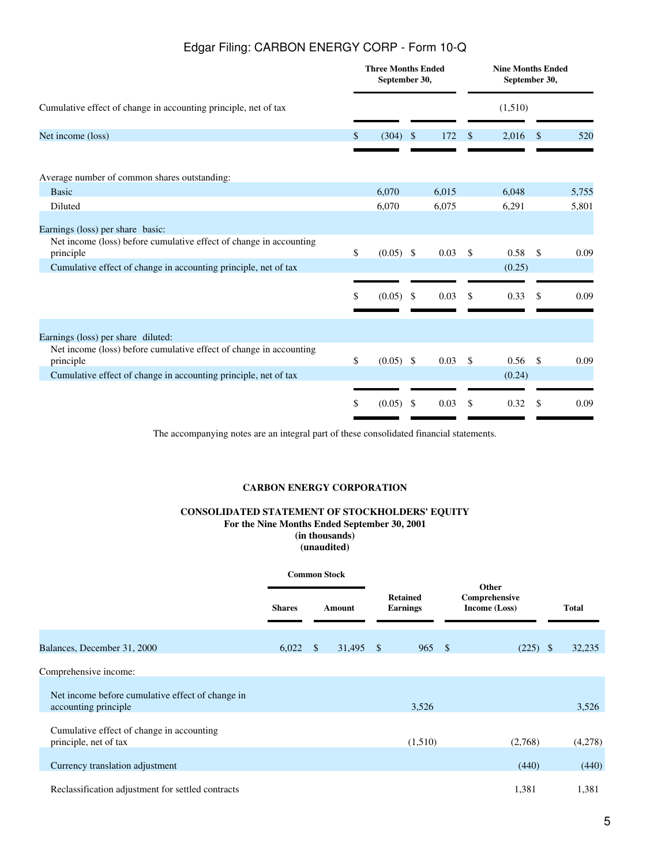|                                                                                                                     | <b>Three Months Ended</b><br>September 30, |              |       |      | <b>Nine Months Ended</b><br>September 30, |               |       |
|---------------------------------------------------------------------------------------------------------------------|--------------------------------------------|--------------|-------|------|-------------------------------------------|---------------|-------|
| Cumulative effect of change in accounting principle, net of tax                                                     |                                            |              |       |      | (1,510)                                   |               |       |
| Net income (loss)                                                                                                   | \$<br>(304)                                | $\mathbb{S}$ | 172   | \$   | 2,016                                     | -S            | 520   |
| Average number of common shares outstanding:                                                                        |                                            |              |       |      |                                           |               |       |
| <b>Basic</b>                                                                                                        | 6,070                                      |              | 6,015 |      | 6,048                                     |               | 5,755 |
| Diluted                                                                                                             | 6,070                                      |              | 6,075 |      | 6,291                                     |               | 5,801 |
| Earnings (loss) per share basic:<br>Net income (loss) before cumulative effect of change in accounting<br>principle | \$<br>$(0.05)$ \$                          |              | 0.03  | - \$ | 0.58                                      | - \$          | 0.09  |
| Cumulative effect of change in accounting principle, net of tax                                                     |                                            |              |       |      | (0.25)                                    |               |       |
|                                                                                                                     | \$<br>(0.05)                               | -\$          | 0.03  | \$.  | 0.33                                      | -S            | 0.09  |
| Earnings (loss) per share diluted:                                                                                  |                                            |              |       |      |                                           |               |       |
| Net income (loss) before cumulative effect of change in accounting<br>principle                                     | \$<br>$(0.05)$ \$                          |              | 0.03  | \$   | 0.56                                      | $\mathcal{S}$ | 0.09  |
| Cumulative effect of change in accounting principle, net of tax                                                     |                                            |              |       |      | (0.24)                                    |               |       |
|                                                                                                                     |                                            |              |       |      |                                           |               |       |
|                                                                                                                     | \$<br>(0.05)                               | -S           | 0.03  | \$   | 0.32                                      | \$.           | 0.09  |
|                                                                                                                     |                                            |              |       |      |                                           |               |       |

The accompanying notes are an integral part of these consolidated financial statements.

### **CARBON ENERGY CORPORATION**

### **CONSOLIDATED STATEMENT OF STOCKHOLDERS' EQUITY For the Nine Months Ended September 30, 2001 (in thousands)**

**(unaudited)**

<span id="page-4-0"></span>

|                                                                          |               |               | <b>Common Stock</b> |                                    |  |                                         |              |
|--------------------------------------------------------------------------|---------------|---------------|---------------------|------------------------------------|--|-----------------------------------------|--------------|
|                                                                          | <b>Shares</b> |               | Amount              | <b>Retained</b><br><b>Earnings</b> |  | Other<br>Comprehensive<br>Income (Loss) | <b>Total</b> |
| Balances, December 31, 2000                                              | 6,022         | $\mathcal{S}$ | $31,495$ \$         | $965 \quad$                        |  | $(225)$ \$                              | 32,235       |
| Comprehensive income:                                                    |               |               |                     |                                    |  |                                         |              |
| Net income before cumulative effect of change in<br>accounting principle |               |               |                     | 3,526                              |  |                                         | 3,526        |
| Cumulative effect of change in accounting<br>principle, net of tax       |               |               |                     | (1,510)                            |  | (2,768)                                 | (4,278)      |
| Currency translation adjustment                                          |               |               |                     |                                    |  | (440)                                   | (440)        |
| Reclassification adjustment for settled contracts                        |               |               |                     |                                    |  | 1,381                                   | 1,381        |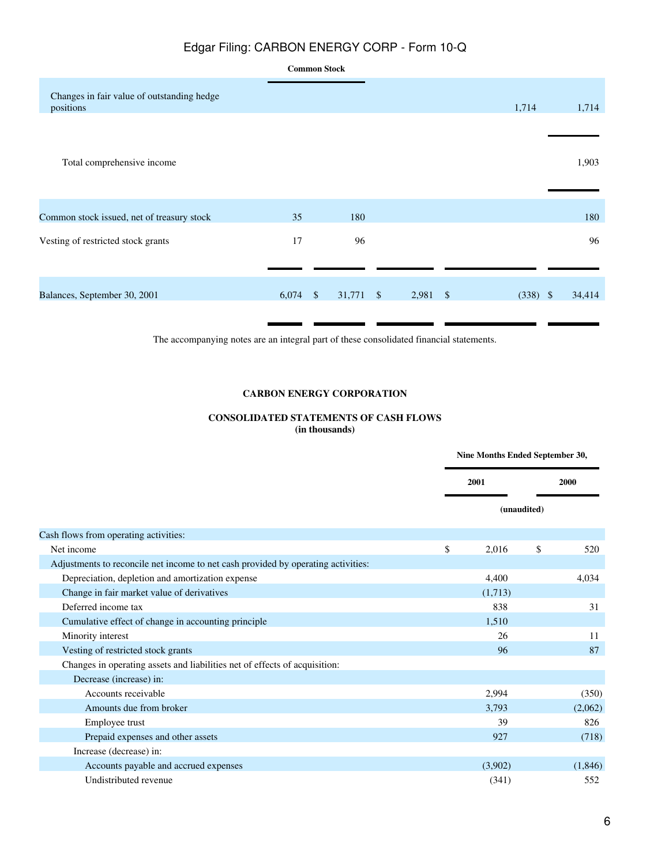|                                                         |            | <b>Common Stock</b> |           |            |  |            |        |
|---------------------------------------------------------|------------|---------------------|-----------|------------|--|------------|--------|
| Changes in fair value of outstanding hedge<br>positions |            |                     |           |            |  | 1,714      | 1,714  |
| Total comprehensive income                              |            |                     |           |            |  |            | 1,903  |
| Common stock issued, net of treasury stock              | 35         |                     | 180       |            |  |            | 180    |
| Vesting of restricted stock grants                      | 17         |                     | 96        |            |  |            | 96     |
| Balances, September 30, 2001                            | $6,074$ \$ |                     | 31,771 \$ | $2,981$ \$ |  | $(338)$ \$ | 34,414 |

The accompanying notes are an integral part of these consolidated financial statements.

### **CARBON ENERGY CORPORATION**

### **CONSOLIDATED STATEMENTS OF CASH FLOWS (in thousands)**

<span id="page-5-0"></span>

|                                                                                   | Nine Months Ended September 30, |             |         |
|-----------------------------------------------------------------------------------|---------------------------------|-------------|---------|
|                                                                                   | 2001                            |             |         |
|                                                                                   |                                 | (unaudited) |         |
| Cash flows from operating activities:                                             |                                 |             |         |
| Net income                                                                        | \$<br>2,016                     | \$          | 520     |
| Adjustments to reconcile net income to net cash provided by operating activities: |                                 |             |         |
| Depreciation, depletion and amortization expense                                  | 4,400                           |             | 4,034   |
| Change in fair market value of derivatives                                        | (1,713)                         |             |         |
| Deferred income tax                                                               | 838                             |             | 31      |
| Cumulative effect of change in accounting principle                               | 1,510                           |             |         |
| Minority interest                                                                 | 26                              |             | 11      |
| Vesting of restricted stock grants                                                | 96                              |             | 87      |
| Changes in operating assets and liabilities net of effects of acquisition:        |                                 |             |         |
| Decrease (increase) in:                                                           |                                 |             |         |
| Accounts receivable                                                               | 2,994                           |             | (350)   |
| Amounts due from broker                                                           | 3,793                           |             | (2,062) |
| Employee trust                                                                    | 39                              |             | 826     |
| Prepaid expenses and other assets                                                 | 927                             |             | (718)   |
| Increase (decrease) in:                                                           |                                 |             |         |
| Accounts payable and accrued expenses                                             | (3,902)                         |             | (1,846) |
| Undistributed revenue                                                             | (341)                           |             | 552     |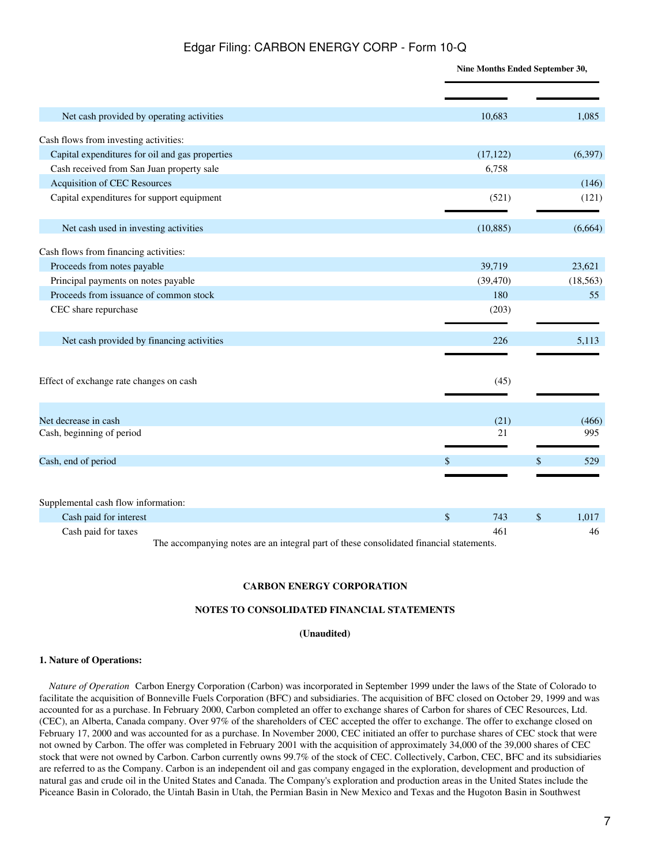**Nine Months Ended September 30,**

| Net cash provided by operating activities       | 10,683    | 1,085       |
|-------------------------------------------------|-----------|-------------|
| Cash flows from investing activities:           |           |             |
| Capital expenditures for oil and gas properties | (17, 122) | (6,397)     |
| Cash received from San Juan property sale       | 6,758     |             |
| <b>Acquisition of CEC Resources</b>             |           | (146)       |
| Capital expenditures for support equipment      | (521)     | (121)       |
| Net cash used in investing activities           | (10, 885) | (6,664)     |
| Cash flows from financing activities:           |           |             |
| Proceeds from notes payable                     | 39,719    | 23,621      |
| Principal payments on notes payable             | (39, 470) | (18, 563)   |
| Proceeds from issuance of common stock          | 180       | 55          |
| CEC share repurchase                            | (203)     |             |
| Net cash provided by financing activities       | 226       | 5,113       |
| Effect of exchange rate changes on cash         | (45)      |             |
| Net decrease in cash                            | (21)      | (466)       |
| Cash, beginning of period                       | 21        | 995         |
| Cash, end of period                             | \$        | 529<br>\$   |
| Supplemental cash flow information:             |           |             |
| Cash paid for interest                          | \$<br>743 | \$<br>1,017 |
| Cash paid for taxes                             | 461       | 46          |

The accompanying notes are an integral part of these consolidated financial statements.

#### **CARBON ENERGY CORPORATION**

#### **NOTES TO CONSOLIDATED FINANCIAL STATEMENTS**

#### **(Unaudited)**

#### <span id="page-6-0"></span>**1. Nature of Operations:**

*Nature of Operation* Carbon Energy Corporation (Carbon) was incorporated in September 1999 under the laws of the State of Colorado to facilitate the acquisition of Bonneville Fuels Corporation (BFC) and subsidiaries. The acquisition of BFC closed on October 29, 1999 and was accounted for as a purchase. In February 2000, Carbon completed an offer to exchange shares of Carbon for shares of CEC Resources, Ltd. (CEC), an Alberta, Canada company. Over 97% of the shareholders of CEC accepted the offer to exchange. The offer to exchange closed on February 17, 2000 and was accounted for as a purchase. In November 2000, CEC initiated an offer to purchase shares of CEC stock that were not owned by Carbon. The offer was completed in February 2001 with the acquisition of approximately 34,000 of the 39,000 shares of CEC stock that were not owned by Carbon. Carbon currently owns 99.7% of the stock of CEC. Collectively, Carbon, CEC, BFC and its subsidiaries are referred to as the Company. Carbon is an independent oil and gas company engaged in the exploration, development and production of natural gas and crude oil in the United States and Canada. The Company's exploration and production areas in the United States include the Piceance Basin in Colorado, the Uintah Basin in Utah, the Permian Basin in New Mexico and Texas and the Hugoton Basin in Southwest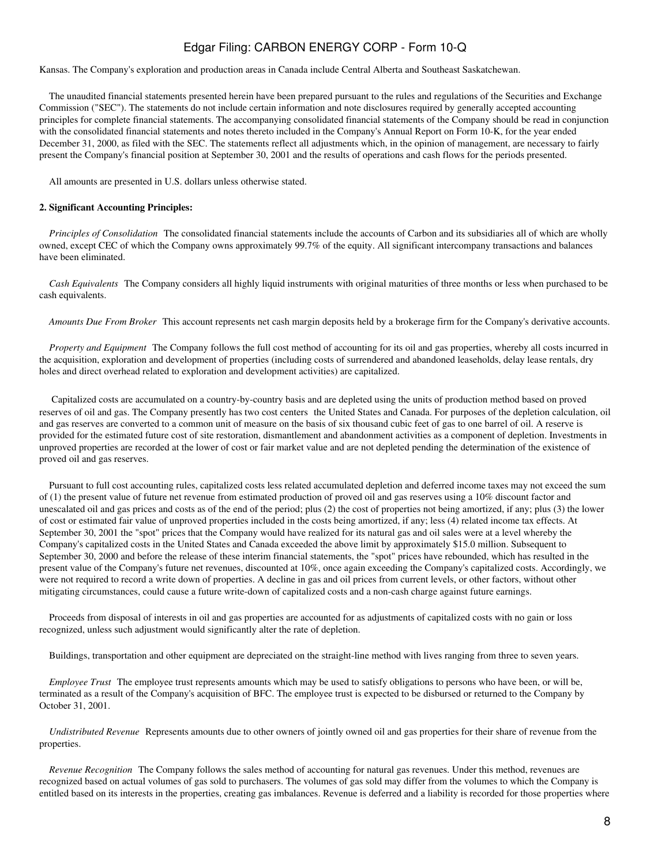Kansas. The Company's exploration and production areas in Canada include Central Alberta and Southeast Saskatchewan.

 The unaudited financial statements presented herein have been prepared pursuant to the rules and regulations of the Securities and Exchange Commission ("SEC"). The statements do not include certain information and note disclosures required by generally accepted accounting principles for complete financial statements. The accompanying consolidated financial statements of the Company should be read in conjunction with the consolidated financial statements and notes thereto included in the Company's Annual Report on Form 10-K, for the year ended December 31, 2000, as filed with the SEC. The statements reflect all adjustments which, in the opinion of management, are necessary to fairly present the Company's financial position at September 30, 2001 and the results of operations and cash flows for the periods presented.

All amounts are presented in U.S. dollars unless otherwise stated.

#### **2. Significant Accounting Principles:**

*Principles of Consolidation* The consolidated financial statements include the accounts of Carbon and its subsidiaries all of which are wholly owned, except CEC of which the Company owns approximately 99.7% of the equity. All significant intercompany transactions and balances have been eliminated.

*Cash Equivalents*The Company considers all highly liquid instruments with original maturities of three months or less when purchased to be cash equivalents.

*Amounts Due From Broker* This account represents net cash margin deposits held by a brokerage firm for the Company's derivative accounts.

*Property and Equipment* The Company follows the full cost method of accounting for its oil and gas properties, whereby all costs incurred in the acquisition, exploration and development of properties (including costs of surrendered and abandoned leaseholds, delay lease rentals, dry holes and direct overhead related to exploration and development activities) are capitalized.

 Capitalized costs are accumulated on a country-by-country basis and are depleted using the units of production method based on proved reserves of oil and gas. The Company presently has two cost centers the United States and Canada. For purposes of the depletion calculation, oil and gas reserves are converted to a common unit of measure on the basis of six thousand cubic feet of gas to one barrel of oil. A reserve is provided for the estimated future cost of site restoration, dismantlement and abandonment activities as a component of depletion. Investments in unproved properties are recorded at the lower of cost or fair market value and are not depleted pending the determination of the existence of proved oil and gas reserves.

 Pursuant to full cost accounting rules, capitalized costs less related accumulated depletion and deferred income taxes may not exceed the sum of (1) the present value of future net revenue from estimated production of proved oil and gas reserves using a 10% discount factor and unescalated oil and gas prices and costs as of the end of the period; plus (2) the cost of properties not being amortized, if any; plus (3) the lower of cost or estimated fair value of unproved properties included in the costs being amortized, if any; less (4) related income tax effects. At September 30, 2001 the "spot" prices that the Company would have realized for its natural gas and oil sales were at a level whereby the Company's capitalized costs in the United States and Canada exceeded the above limit by approximately \$15.0 million. Subsequent to September 30, 2000 and before the release of these interim financial statements, the "spot" prices have rebounded, which has resulted in the present value of the Company's future net revenues, discounted at 10%, once again exceeding the Company's capitalized costs. Accordingly, we were not required to record a write down of properties. A decline in gas and oil prices from current levels, or other factors, without other mitigating circumstances, could cause a future write-down of capitalized costs and a non-cash charge against future earnings.

 Proceeds from disposal of interests in oil and gas properties are accounted for as adjustments of capitalized costs with no gain or loss recognized, unless such adjustment would significantly alter the rate of depletion.

Buildings, transportation and other equipment are depreciated on the straight-line method with lives ranging from three to seven years.

*Employee Trust* The employee trust represents amounts which may be used to satisfy obligations to persons who have been, or will be, terminated as a result of the Company's acquisition of BFC. The employee trust is expected to be disbursed or returned to the Company by October 31, 2001.

*Undistributed Revenue* Represents amounts due to other owners of jointly owned oil and gas properties for their share of revenue from the properties.

*Revenue Recognition*The Company follows the sales method of accounting for natural gas revenues. Under this method, revenues are recognized based on actual volumes of gas sold to purchasers. The volumes of gas sold may differ from the volumes to which the Company is entitled based on its interests in the properties, creating gas imbalances. Revenue is deferred and a liability is recorded for those properties where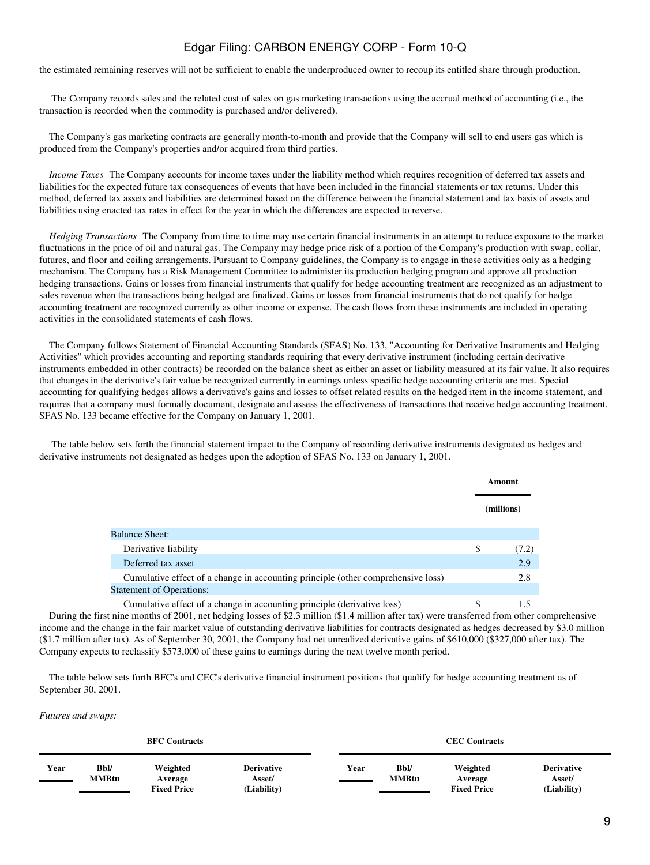the estimated remaining reserves will not be sufficient to enable the underproduced owner to recoup its entitled share through production.

 The Company records sales and the related cost of sales on gas marketing transactions using the accrual method of accounting (i.e., the transaction is recorded when the commodity is purchased and/or delivered).

 The Company's gas marketing contracts are generally month-to-month and provide that the Company will sell to end users gas which is produced from the Company's properties and/or acquired from third parties.

*Income Taxes* The Company accounts for income taxes under the liability method which requires recognition of deferred tax assets and liabilities for the expected future tax consequences of events that have been included in the financial statements or tax returns. Under this method, deferred tax assets and liabilities are determined based on the difference between the financial statement and tax basis of assets and liabilities using enacted tax rates in effect for the year in which the differences are expected to reverse.

*Hedging Transactions* The Company from time to time may use certain financial instruments in an attempt to reduce exposure to the market fluctuations in the price of oil and natural gas. The Company may hedge price risk of a portion of the Company's production with swap, collar, futures, and floor and ceiling arrangements. Pursuant to Company guidelines, the Company is to engage in these activities only as a hedging mechanism. The Company has a Risk Management Committee to administer its production hedging program and approve all production hedging transactions. Gains or losses from financial instruments that qualify for hedge accounting treatment are recognized as an adjustment to sales revenue when the transactions being hedged are finalized. Gains or losses from financial instruments that do not qualify for hedge accounting treatment are recognized currently as other income or expense. The cash flows from these instruments are included in operating activities in the consolidated statements of cash flows.

 The Company follows Statement of Financial Accounting Standards (SFAS) No. 133, "Accounting for Derivative Instruments and Hedging Activities" which provides accounting and reporting standards requiring that every derivative instrument (including certain derivative instruments embedded in other contracts) be recorded on the balance sheet as either an asset or liability measured at its fair value. It also requires that changes in the derivative's fair value be recognized currently in earnings unless specific hedge accounting criteria are met. Special accounting for qualifying hedges allows a derivative's gains and losses to offset related results on the hedged item in the income statement, and requires that a company must formally document, designate and assess the effectiveness of transactions that receive hedge accounting treatment. SFAS No. 133 became effective for the Company on January 1, 2001.

 The table below sets forth the financial statement impact to the Company of recording derivative instruments designated as hedges and derivative instruments not designated as hedges upon the adoption of SFAS No. 133 on January 1, 2001.

|                                                                                  |    | Amount     |
|----------------------------------------------------------------------------------|----|------------|
|                                                                                  |    | (millions) |
| <b>Balance Sheet:</b>                                                            |    |            |
| Derivative liability                                                             | \$ | (7.2)      |
| Deferred tax asset                                                               |    | 2.9        |
| Cumulative effect of a change in accounting principle (other comprehensive loss) |    | 2.8        |
| <b>Statement of Operations:</b>                                                  |    |            |
| Cumulative effect of a change in accounting principle (derivative loss)          | S  |            |

 During the first nine months of 2001, net hedging losses of \$2.3 million (\$1.4 million after tax) were transferred from other comprehensive income and the change in the fair market value of outstanding derivative liabilities for contracts designated as hedges decreased by \$3.0 million (\$1.7 million after tax). As of September 30, 2001, the Company had net unrealized derivative gains of \$610,000 (\$327,000 after tax). The Company expects to reclassify \$573,000 of these gains to earnings during the next twelve month period.

 The table below sets forth BFC's and CEC's derivative financial instrument positions that qualify for hedge accounting treatment as of September 30, 2001.

*Futures and swaps:*

| <b>BFC Contracts</b> |                      |                                           |                                            |  |      |                             | <b>CEC</b> Contracts                      |                                            |
|----------------------|----------------------|-------------------------------------------|--------------------------------------------|--|------|-----------------------------|-------------------------------------------|--------------------------------------------|
| Year                 | Bbl/<br><b>MMBtu</b> | Weighted<br>Average<br><b>Fixed Price</b> | <b>Derivative</b><br>Asset/<br>(Liability) |  | Year | <b>Bbl/</b><br><b>MMBtu</b> | Weighted<br>Average<br><b>Fixed Price</b> | <b>Derivative</b><br>Asset/<br>(Liability) |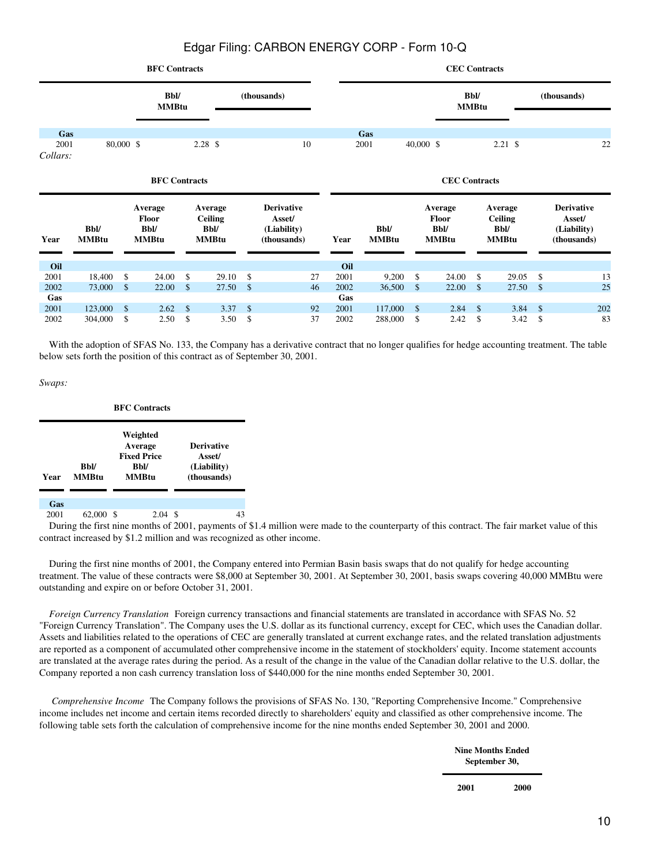|              |                    |           | <b>BFC Contracts</b>                   |                     |                                          |                    |                                            |              |                    |                    |                                        | <b>CEC Contracts</b>              |              |               |                                            |
|--------------|--------------------|-----------|----------------------------------------|---------------------|------------------------------------------|--------------------|--------------------------------------------|--------------|--------------------|--------------------|----------------------------------------|-----------------------------------|--------------|---------------|--------------------------------------------|
|              |                    |           | <b>Bbl/</b><br><b>MMBtu</b>            |                     |                                          |                    | (thousands)                                |              |                    |                    |                                        | <b>Bbl/</b><br><b>MMBtu</b>       |              |               | (thousands)                                |
| Gas<br>2001  |                    | 80,000 \$ |                                        | 2.28S               |                                          |                    | 10                                         |              | Gas<br>2001        | $40,000$ \$        |                                        | 2.21S                             |              |               | 22                                         |
| Collars:     |                    |           |                                        |                     |                                          |                    |                                            |              |                    |                    |                                        |                                   |              |               |                                            |
|              |                    |           | <b>BFC</b> Contracts                   |                     |                                          |                    |                                            |              |                    |                    | <b>CEC</b> Contracts                   |                                   |              |               |                                            |
| Year         | <b>Bbl/</b>        |           | Average<br><b>Floor</b><br><b>Bbl/</b> |                     | Average<br><b>Ceiling</b><br><b>Bbl/</b> |                    | <b>Derivative</b><br>Asset/<br>(Liability) |              | <b>Bbl/</b>        |                    | Average<br><b>Floor</b><br><b>Bbl/</b> | Average<br><b>Ceiling</b><br>Bbl/ |              |               | <b>Derivative</b><br>Asset/<br>(Liability) |
|              | <b>MMBtu</b>       |           | <b>MMBtu</b>                           |                     | <b>MMBtu</b>                             |                    | (thousands)                                | Year         | <b>MMBtu</b>       |                    | <b>MMBtu</b>                           | <b>MMBtu</b>                      |              |               | (thousands)                                |
| Oil          |                    |           |                                        |                     |                                          |                    |                                            | Oil          |                    |                    |                                        |                                   |              |               |                                            |
| 2001         | 18,400             | \$        | 24.00                                  | \$                  | 29.10                                    | \$                 | 27                                         | 2001         | 9,200              | \$                 | 24.00                                  | \$                                | 29.05        | \$            | 13                                         |
| 2002         | 73,000             | \$        | 22.00                                  | $\mathbb{S}$        | 27.50                                    | $\mathcal{S}$      | 46                                         | 2002         | 36,500             | \$                 | 22.00                                  | $\mathsf{\$}$                     | 27.50        | $\mathcal{S}$ | 25                                         |
| Gas          |                    |           |                                        |                     |                                          |                    |                                            | Gas          |                    |                    |                                        |                                   |              |               |                                            |
| 2001<br>2002 | 123,000<br>304,000 | \$<br>\$  | 2.62<br>2.50                           | $\mathcal{S}$<br>\$ | 3.37<br>3.50                             | $\mathbb{S}$<br>\$ | 92<br>37                                   | 2001<br>2002 | 117,000<br>288,000 | $\mathbb{S}$<br>\$ | 2.84<br>2.42                           | $\mathcal{S}$<br>\$               | 3.84<br>3.42 | \$<br>\$      | 202<br>83                                  |

With the adoption of SFAS No. 133, the Company has a derivative contract that no longer qualifies for hedge accounting treatment. The table below sets forth the position of this contract as of September 30, 2001.

*Swaps:*

|      |                             |   | <b>BFC Contracts</b>                                              |                                                           |    |
|------|-----------------------------|---|-------------------------------------------------------------------|-----------------------------------------------------------|----|
| Year | <b>Bbl/</b><br><b>MMBtu</b> |   | Weighted<br>Average<br><b>Fixed Price</b><br><b>Bbl/</b><br>MMBtu | <b>Derivative</b><br>Asset/<br>(Liability)<br>(thousands) |    |
| Gas  |                             |   |                                                                   |                                                           |    |
| 2001 | 62,000<br>- -               | S | 2.04                                                              | S<br>.                                                    | 43 |

 During the first nine months of 2001, payments of \$1.4 million were made to the counterparty of this contract. The fair market value of this contract increased by \$1.2 million and was recognized as other income.

 During the first nine months of 2001, the Company entered into Permian Basin basis swaps that do not qualify for hedge accounting treatment. The value of these contracts were \$8,000 at September 30, 2001. At September 30, 2001, basis swaps covering 40,000 MMBtu were outstanding and expire on or before October 31, 2001.

*Foreign Currency Translation* Foreign currency transactions and financial statements are translated in accordance with SFAS No. 52 "Foreign Currency Translation". The Company uses the U.S. dollar as its functional currency, except for CEC, which uses the Canadian dollar. Assets and liabilities related to the operations of CEC are generally translated at current exchange rates, and the related translation adjustments are reported as a component of accumulated other comprehensive income in the statement of stockholders' equity. Income statement accounts are translated at the average rates during the period. As a result of the change in the value of the Canadian dollar relative to the U.S. dollar, the Company reported a non cash currency translation loss of \$440,000 for the nine months ended September 30, 2001.

*Comprehensive Income*The Company follows the provisions of SFAS No. 130, "Reporting Comprehensive Income." Comprehensive income includes net income and certain items recorded directly to shareholders' equity and classified as other comprehensive income. The following table sets forth the calculation of comprehensive income for the nine months ended September 30, 2001 and 2000.

> **Nine Months Ended September 30,**

**2001 2000**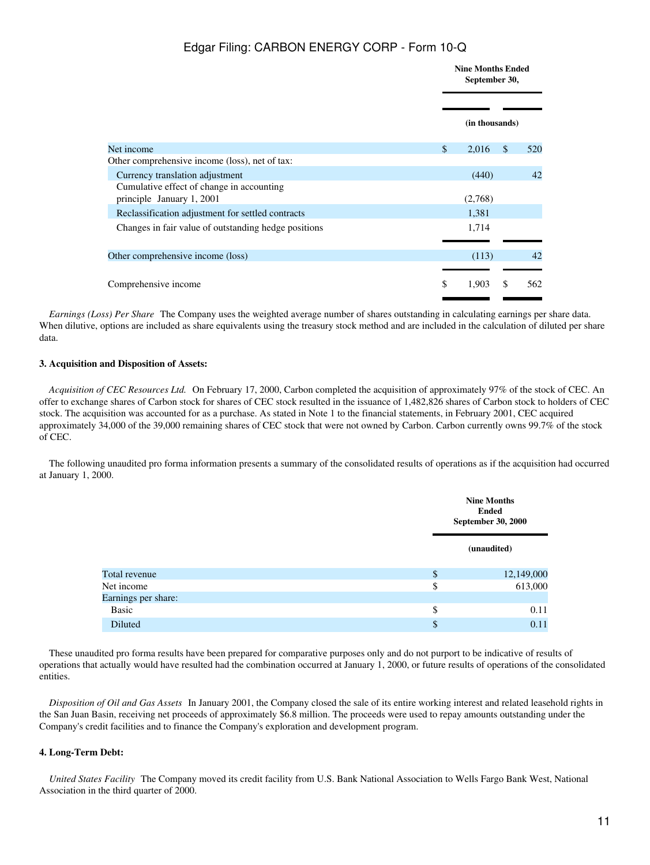|                                                                        | September 30,         | <b>Nine Months Ended</b> |     |
|------------------------------------------------------------------------|-----------------------|--------------------------|-----|
|                                                                        | (in thousands)        |                          |     |
| Net income                                                             | $\mathbb{S}$<br>2,016 | $\mathbb{S}$             | 520 |
| Other comprehensive income (loss), net of tax:                         |                       |                          |     |
| Currency translation adjustment                                        | (440)                 |                          | 42  |
| Cumulative effect of change in accounting<br>principle January 1, 2001 | (2,768)               |                          |     |
| Reclassification adjustment for settled contracts                      | 1,381                 |                          |     |
| Changes in fair value of outstanding hedge positions                   | 1,714                 |                          |     |
| Other comprehensive income (loss)                                      | (113)                 |                          | 42  |
|                                                                        |                       |                          |     |
| Comprehensive income                                                   | \$<br>1,903           | \$                       | 562 |

*Earnings (Loss) Per Share* The Company uses the weighted average number of shares outstanding in calculating earnings per share data. When dilutive, options are included as share equivalents using the treasury stock method and are included in the calculation of diluted per share data.

#### **3. Acquisition and Disposition of Assets:**

*Acquisition of CEC Resources Ltd.*On February 17, 2000, Carbon completed the acquisition of approximately 97% of the stock of CEC. An offer to exchange shares of Carbon stock for shares of CEC stock resulted in the issuance of 1,482,826 shares of Carbon stock to holders of CEC stock. The acquisition was accounted for as a purchase. As stated in Note 1 to the financial statements, in February 2001, CEC acquired approximately 34,000 of the 39,000 remaining shares of CEC stock that were not owned by Carbon. Carbon currently owns 99.7% of the stock of CEC.

 The following unaudited pro forma information presents a summary of the consolidated results of operations as if the acquisition had occurred at January 1, 2000.

|                     | <b>Nine Months</b><br><b>Ended</b><br><b>September 30, 2000</b> |
|---------------------|-----------------------------------------------------------------|
|                     | (unaudited)                                                     |
| Total revenue       | \$<br>12,149,000                                                |
| Net income          | \$<br>613,000                                                   |
| Earnings per share: |                                                                 |
| Basic               | \$<br>0.11                                                      |
| Diluted             | \$<br>0.11                                                      |

 These unaudited pro forma results have been prepared for comparative purposes only and do not purport to be indicative of results of operations that actually would have resulted had the combination occurred at January 1, 2000, or future results of operations of the consolidated entities.

*Disposition of Oil and Gas Assets*In January 2001, the Company closed the sale of its entire working interest and related leasehold rights in the San Juan Basin, receiving net proceeds of approximately \$6.8 million. The proceeds were used to repay amounts outstanding under the Company's credit facilities and to finance the Company's exploration and development program.

### **4. Long-Term Debt:**

*United States Facility* The Company moved its credit facility from U.S. Bank National Association to Wells Fargo Bank West, National Association in the third quarter of 2000.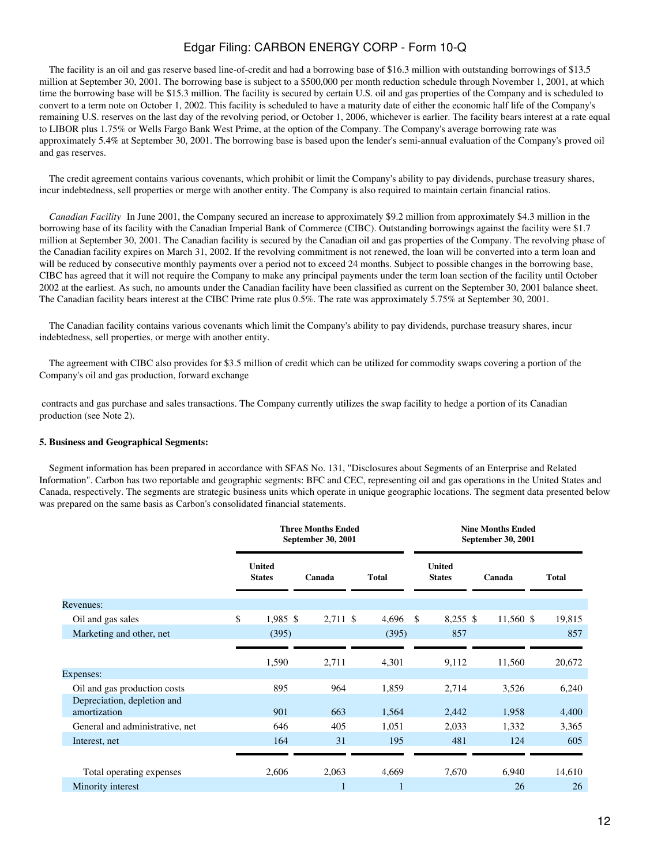The facility is an oil and gas reserve based line-of-credit and had a borrowing base of \$16.3 million with outstanding borrowings of \$13.5 million at September 30, 2001. The borrowing base is subject to a \$500,000 per month reduction schedule through November 1, 2001, at which time the borrowing base will be \$15.3 million. The facility is secured by certain U.S. oil and gas properties of the Company and is scheduled to convert to a term note on October 1, 2002. This facility is scheduled to have a maturity date of either the economic half life of the Company's remaining U.S. reserves on the last day of the revolving period, or October 1, 2006, whichever is earlier. The facility bears interest at a rate equal to LIBOR plus 1.75% or Wells Fargo Bank West Prime, at the option of the Company. The Company's average borrowing rate was approximately 5.4% at September 30, 2001. The borrowing base is based upon the lender's semi-annual evaluation of the Company's proved oil and gas reserves.

 The credit agreement contains various covenants, which prohibit or limit the Company's ability to pay dividends, purchase treasury shares, incur indebtedness, sell properties or merge with another entity. The Company is also required to maintain certain financial ratios.

*Canadian Facility* In June 2001, the Company secured an increase to approximately \$9.2 million from approximately \$4.3 million in the borrowing base of its facility with the Canadian Imperial Bank of Commerce (CIBC). Outstanding borrowings against the facility were \$1.7 million at September 30, 2001. The Canadian facility is secured by the Canadian oil and gas properties of the Company. The revolving phase of the Canadian facility expires on March 31, 2002. If the revolving commitment is not renewed, the loan will be converted into a term loan and will be reduced by consecutive monthly payments over a period not to exceed 24 months. Subject to possible changes in the borrowing base, CIBC has agreed that it will not require the Company to make any principal payments under the term loan section of the facility until October 2002 at the earliest. As such, no amounts under the Canadian facility have been classified as current on the September 30, 2001 balance sheet. The Canadian facility bears interest at the CIBC Prime rate plus 0.5%. The rate was approximately 5.75% at September 30, 2001.

 The Canadian facility contains various covenants which limit the Company's ability to pay dividends, purchase treasury shares, incur indebtedness, sell properties, or merge with another entity.

 The agreement with CIBC also provides for \$3.5 million of credit which can be utilized for commodity swaps covering a portion of the Company's oil and gas production, forward exchange

 contracts and gas purchase and sales transactions. The Company currently utilizes the swap facility to hedge a portion of its Canadian production (see Note 2).

#### **5. Business and Geographical Segments:**

 Segment information has been prepared in accordance with SFAS No. 131, "Disclosures about Segments of an Enterprise and Related Information". Carbon has two reportable and geographic segments: BFC and CEC, representing oil and gas operations in the United States and Canada, respectively. The segments are strategic business units which operate in unique geographic locations. The segment data presented below was prepared on the same basis as Carbon's consolidated financial statements.

|                                             |                                | <b>Three Months Ended</b><br>September 30, 2001 |              |                                | <b>Nine Months Ended</b><br>September 30, 2001 |              |
|---------------------------------------------|--------------------------------|-------------------------------------------------|--------------|--------------------------------|------------------------------------------------|--------------|
|                                             | <b>United</b><br><b>States</b> | Canada                                          | <b>Total</b> | <b>United</b><br><b>States</b> | Canada                                         | <b>Total</b> |
| Revenues:                                   |                                |                                                 |              |                                |                                                |              |
| Oil and gas sales                           | \$<br>$1,985$ \$               | 2,711 \$                                        | 4,696        | $8,255$ \$<br><sup>\$</sup>    | 11,560 \$                                      | 19,815       |
| Marketing and other, net                    | (395)                          |                                                 | (395)        | 857                            |                                                | 857          |
| Expenses:                                   | 1,590                          | 2,711                                           | 4,301        | 9,112                          | 11,560                                         | 20,672       |
| Oil and gas production costs                | 895                            | 964                                             | 1,859        | 2,714                          | 3,526                                          | 6,240        |
| Depreciation, depletion and<br>amortization | 901                            | 663                                             | 1,564        | 2,442                          | 1,958                                          | 4,400        |
| General and administrative, net             | 646                            | 405                                             | 1,051        | 2,033                          | 1,332                                          | 3,365        |
| Interest, net                               | 164                            | 31                                              | 195          | 481                            | 124                                            | 605          |
|                                             |                                |                                                 |              |                                |                                                |              |
| Total operating expenses                    | 2,606                          | 2,063                                           | 4,669        | 7,670                          | 6,940                                          | 14,610       |
| Minority interest                           |                                |                                                 |              |                                | 26                                             | 26           |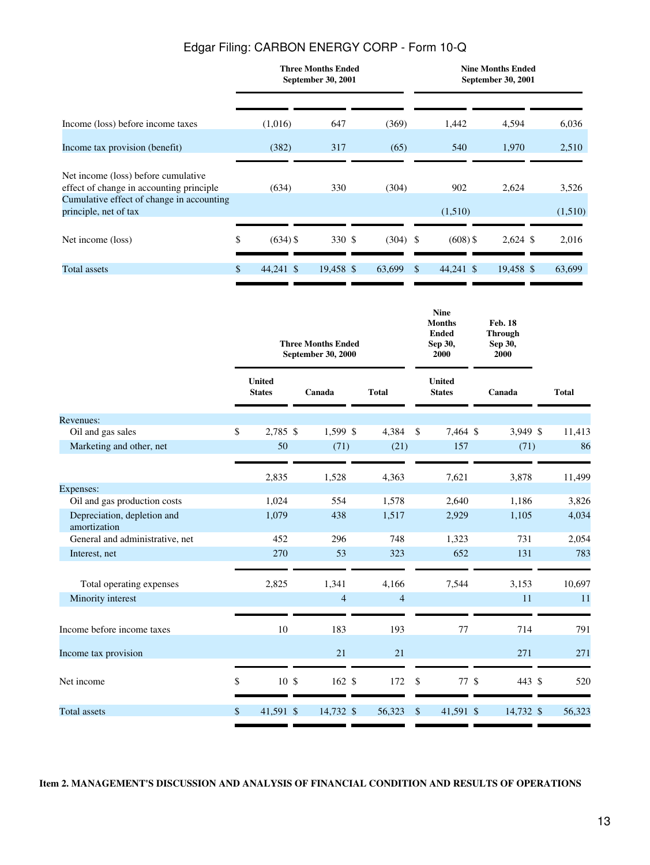|                                                                                  |                  | <b>Three Months Ended</b><br>September 30, 2001 |            |               |            | <b>Nine Months Ended</b><br>September 30, 2001 |         |
|----------------------------------------------------------------------------------|------------------|-------------------------------------------------|------------|---------------|------------|------------------------------------------------|---------|
| Income (loss) before income taxes                                                | (1,016)          | 647                                             | (369)      |               | 1,442      | 4,594                                          | 6,036   |
| Income tax provision (benefit)                                                   | (382)            | 317                                             | (65)       |               | 540        | 1,970                                          | 2,510   |
| Net income (loss) before cumulative<br>effect of change in accounting principle. | (634)            | 330                                             | (304)      |               | 902        | 2,624                                          | 3,526   |
| Cumulative effect of change in accounting<br>principle, net of tax               |                  |                                                 |            |               | (1,510)    |                                                | (1,510) |
| Net income (loss)                                                                | \$<br>$(634)$ \$ | 330 \$                                          | $(304)$ \$ |               | $(608)$ \$ | $2,624$ \$                                     | 2,016   |
| Total assets                                                                     | \$<br>44,241 \$  | 19,458 \$                                       | 63,699     | <sup>\$</sup> | 44,241 \$  | 19,458 \$                                      | 63,699  |

|                                             |                                | <b>Three Months Ended</b><br>September 30, 2000 |                |              | <b>Nine</b><br><b>Months</b><br><b>Ended</b><br>Sep 30,<br>2000 | <b>Feb. 18</b><br><b>Through</b><br>Sep 30,<br>2000 |              |
|---------------------------------------------|--------------------------------|-------------------------------------------------|----------------|--------------|-----------------------------------------------------------------|-----------------------------------------------------|--------------|
|                                             | <b>United</b><br><b>States</b> | Canada                                          | <b>Total</b>   |              | <b>United</b><br><b>States</b>                                  | Canada                                              | <b>Total</b> |
| Revenues:                                   |                                |                                                 |                |              |                                                                 |                                                     |              |
| Oil and gas sales                           | \$<br>2,785 \$                 | 1,599 \$                                        | 4,384          | \$           | 7,464 \$                                                        | 3,949 \$                                            | 11,413       |
| Marketing and other, net                    | 50                             | (71)                                            | (21)           |              | 157                                                             | (71)                                                | 86           |
|                                             | 2,835                          | 1,528                                           | 4,363          |              | 7,621                                                           | 3,878                                               | 11,499       |
| Expenses:                                   |                                |                                                 |                |              |                                                                 |                                                     |              |
| Oil and gas production costs                | 1,024                          | 554                                             | 1,578          |              | 2,640                                                           | 1,186                                               | 3,826        |
| Depreciation, depletion and<br>amortization | 1,079                          | 438                                             | 1,517          |              | 2,929                                                           | 1,105                                               | 4,034        |
| General and administrative, net             | 452                            | 296                                             | 748            |              | 1,323                                                           | 731                                                 | 2,054        |
| Interest, net                               | 270                            | 53                                              | 323            |              | 652                                                             | 131                                                 | 783          |
| Total operating expenses                    | 2,825                          | 1,341                                           | 4,166          |              | 7,544                                                           | 3,153                                               | 10,697       |
| Minority interest                           |                                | $\overline{4}$                                  | $\overline{4}$ |              |                                                                 | 11                                                  | 11           |
| Income before income taxes                  | 10                             | 183                                             | 193            |              | 77                                                              | 714                                                 | 791          |
| Income tax provision                        |                                | 21                                              | 21             |              |                                                                 | 271                                                 | 271          |
|                                             |                                |                                                 |                |              |                                                                 |                                                     |              |
| Net income                                  | \$<br>10 <sup>5</sup>          | $162 \text{ }$ \$                               | 172            | \$           | 77S                                                             | 443 \$                                              | 520          |
| <b>Total assets</b>                         | \$<br>41,591 \$                | 14,732 \$                                       | 56,323         | $\mathbb{S}$ | 41,591 \$                                                       | 14,732 \$                                           | 56,323       |
|                                             |                                |                                                 |                |              |                                                                 |                                                     |              |

<span id="page-12-0"></span>**Item 2. MANAGEMENT'S DISCUSSION AND ANALYSIS OF FINANCIAL CONDITION AND RESULTS OF OPERATIONS**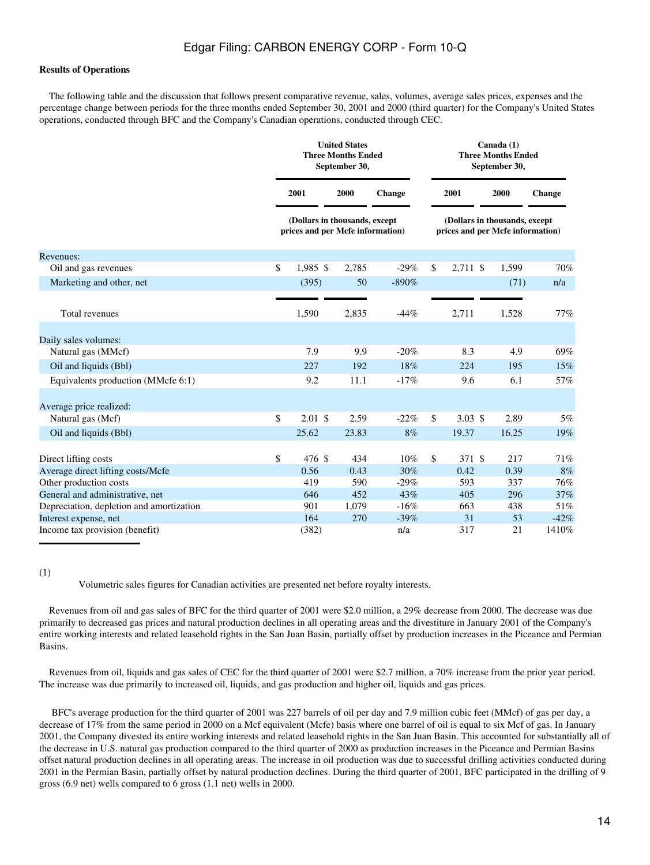### **Results of Operations**

 The following table and the discussion that follows present comparative revenue, sales, volumes, average sales prices, expenses and the percentage change between periods for the three months ended September 30, 2001 and 2000 (third quarter) for the Company's United States operations, conducted through BFC and the Company's Canadian operations, conducted through CEC.

|                                          | <b>United States</b><br><b>Three Months Ended</b><br>September 30, |       |               | Canada (1)<br><b>Three Months Ended</b><br>September 30, |          |                                                                   |        |  |  |  |
|------------------------------------------|--------------------------------------------------------------------|-------|---------------|----------------------------------------------------------|----------|-------------------------------------------------------------------|--------|--|--|--|
|                                          | 2001                                                               | 2000  | <b>Change</b> |                                                          | 2001     | 2000                                                              | Change |  |  |  |
|                                          | (Dollars in thousands, except<br>prices and per Mcfe information)  |       |               |                                                          |          | (Dollars in thousands, except<br>prices and per Mcfe information) |        |  |  |  |
| Revenues:                                |                                                                    |       |               |                                                          |          |                                                                   |        |  |  |  |
| Oil and gas revenues                     | \$<br>1,985 \$                                                     | 2,785 | $-29%$        | \$                                                       | 2,711 \$ | 1,599                                                             | 70%    |  |  |  |
| Marketing and other, net                 | (395)                                                              | 50    | $-890%$       |                                                          |          | (71)                                                              | n/a    |  |  |  |
|                                          |                                                                    |       |               |                                                          |          |                                                                   |        |  |  |  |
| Total revenues                           | 1,590                                                              | 2,835 | $-44%$        |                                                          | 2,711    | 1,528                                                             | 77%    |  |  |  |
|                                          |                                                                    |       |               |                                                          |          |                                                                   |        |  |  |  |
| Daily sales volumes:                     |                                                                    |       |               |                                                          |          |                                                                   |        |  |  |  |
| Natural gas (MMcf)                       | 7.9                                                                | 9.9   | $-20%$        |                                                          | 8.3      | 4.9                                                               | 69%    |  |  |  |
| Oil and liquids (Bbl)                    | 227                                                                | 192   | 18%           |                                                          | 224      | 195                                                               | 15%    |  |  |  |
| Equivalents production (MMcfe 6:1)       | 9.2                                                                | 11.1  | $-17%$        |                                                          | 9.6      | 6.1                                                               | 57%    |  |  |  |
|                                          |                                                                    |       |               |                                                          |          |                                                                   |        |  |  |  |
| Average price realized:                  |                                                                    |       |               |                                                          |          |                                                                   |        |  |  |  |
| Natural gas (Mcf)                        | \$<br>$2.01 \text{ }$ \$                                           | 2.59  | $-22%$        | \$                                                       | 3.03~\$  | 2.89                                                              | 5%     |  |  |  |
| Oil and liquids (Bbl)                    | 25.62                                                              | 23.83 | 8%            |                                                          | 19.37    | 16.25                                                             | 19%    |  |  |  |
|                                          |                                                                    |       |               |                                                          |          |                                                                   |        |  |  |  |
| Direct lifting costs                     | \$<br>476 \$                                                       | 434   | 10%           | \$                                                       | 371 \$   | 217                                                               | 71%    |  |  |  |
| Average direct lifting costs/Mcfe        | 0.56                                                               | 0.43  | 30%           |                                                          | 0.42     | 0.39                                                              | 8%     |  |  |  |
| Other production costs                   | 419                                                                | 590   | $-29%$        |                                                          | 593      | 337                                                               | 76%    |  |  |  |
| General and administrative, net          | 646                                                                | 452   | 43%           |                                                          | 405      | 296                                                               | 37%    |  |  |  |
| Depreciation, depletion and amortization | 901                                                                | 1,079 | $-16%$        |                                                          | 663      | 438                                                               | 51%    |  |  |  |
| Interest expense, net                    | 164                                                                | 270   | $-39%$        |                                                          | 31       | 53                                                                | $-42%$ |  |  |  |
| Income tax provision (benefit)           | (382)                                                              |       | n/a           |                                                          | 317      | 21                                                                | 1410%  |  |  |  |

<sup>(1)</sup>

Volumetric sales figures for Canadian activities are presented net before royalty interests.

 Revenues from oil and gas sales of BFC for the third quarter of 2001 were \$2.0 million, a 29% decrease from 2000. The decrease was due primarily to decreased gas prices and natural production declines in all operating areas and the divestiture in January 2001 of the Company's entire working interests and related leasehold rights in the San Juan Basin, partially offset by production increases in the Piceance and Permian Basins.

 Revenues from oil, liquids and gas sales of CEC for the third quarter of 2001 were \$2.7 million, a 70% increase from the prior year period. The increase was due primarily to increased oil, liquids, and gas production and higher oil, liquids and gas prices.

 BFC's average production for the third quarter of 2001 was 227 barrels of oil per day and 7.9 million cubic feet (MMcf) of gas per day, a decrease of 17% from the same period in 2000 on a Mcf equivalent (Mcfe) basis where one barrel of oil is equal to six Mcf of gas. In January 2001, the Company divested its entire working interests and related leasehold rights in the San Juan Basin. This accounted for substantially all of the decrease in U.S. natural gas production compared to the third quarter of 2000 as production increases in the Piceance and Permian Basins offset natural production declines in all operating areas. The increase in oil production was due to successful drilling activities conducted during 2001 in the Permian Basin, partially offset by natural production declines. During the third quarter of 2001, BFC participated in the drilling of 9 gross (6.9 net) wells compared to 6 gross (1.1 net) wells in 2000.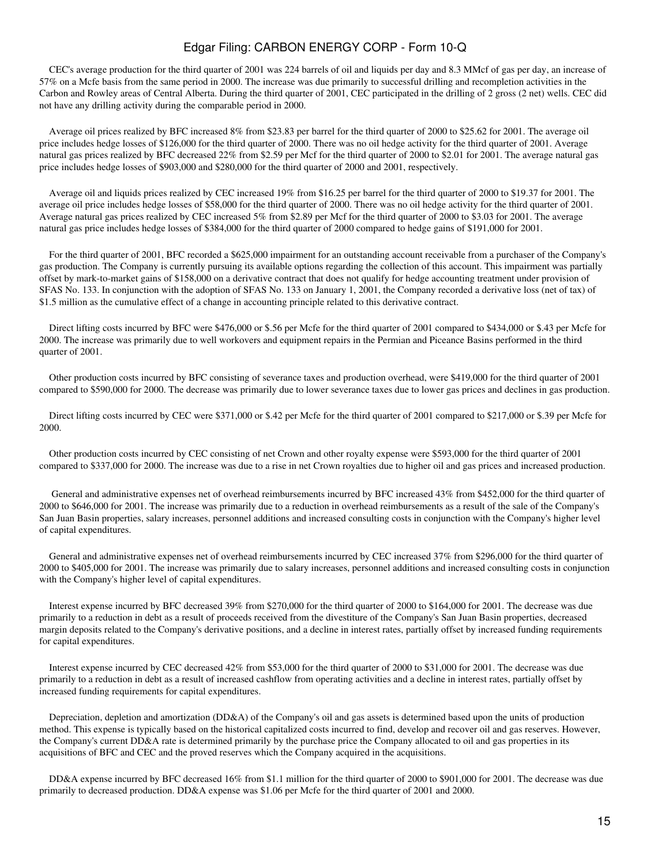CEC's average production for the third quarter of 2001 was 224 barrels of oil and liquids per day and 8.3 MMcf of gas per day, an increase of 57% on a Mcfe basis from the same period in 2000. The increase was due primarily to successful drilling and recompletion activities in the Carbon and Rowley areas of Central Alberta. During the third quarter of 2001, CEC participated in the drilling of 2 gross (2 net) wells. CEC did not have any drilling activity during the comparable period in 2000.

 Average oil prices realized by BFC increased 8% from \$23.83 per barrel for the third quarter of 2000 to \$25.62 for 2001. The average oil price includes hedge losses of \$126,000 for the third quarter of 2000. There was no oil hedge activity for the third quarter of 2001. Average natural gas prices realized by BFC decreased 22% from \$2.59 per Mcf for the third quarter of 2000 to \$2.01 for 2001. The average natural gas price includes hedge losses of \$903,000 and \$280,000 for the third quarter of 2000 and 2001, respectively.

 Average oil and liquids prices realized by CEC increased 19% from \$16.25 per barrel for the third quarter of 2000 to \$19.37 for 2001. The average oil price includes hedge losses of \$58,000 for the third quarter of 2000. There was no oil hedge activity for the third quarter of 2001. Average natural gas prices realized by CEC increased 5% from \$2.89 per Mcf for the third quarter of 2000 to \$3.03 for 2001. The average natural gas price includes hedge losses of \$384,000 for the third quarter of 2000 compared to hedge gains of \$191,000 for 2001.

 For the third quarter of 2001, BFC recorded a \$625,000 impairment for an outstanding account receivable from a purchaser of the Company's gas production. The Company is currently pursuing its available options regarding the collection of this account. This impairment was partially offset by mark-to-market gains of \$158,000 on a derivative contract that does not qualify for hedge accounting treatment under provision of SFAS No. 133. In conjunction with the adoption of SFAS No. 133 on January 1, 2001, the Company recorded a derivative loss (net of tax) of \$1.5 million as the cumulative effect of a change in accounting principle related to this derivative contract.

 Direct lifting costs incurred by BFC were \$476,000 or \$.56 per Mcfe for the third quarter of 2001 compared to \$434,000 or \$.43 per Mcfe for 2000. The increase was primarily due to well workovers and equipment repairs in the Permian and Piceance Basins performed in the third quarter of 2001.

 Other production costs incurred by BFC consisting of severance taxes and production overhead, were \$419,000 for the third quarter of 2001 compared to \$590,000 for 2000. The decrease was primarily due to lower severance taxes due to lower gas prices and declines in gas production.

 Direct lifting costs incurred by CEC were \$371,000 or \$.42 per Mcfe for the third quarter of 2001 compared to \$217,000 or \$.39 per Mcfe for 2000.

 Other production costs incurred by CEC consisting of net Crown and other royalty expense were \$593,000 for the third quarter of 2001 compared to \$337,000 for 2000. The increase was due to a rise in net Crown royalties due to higher oil and gas prices and increased production.

 General and administrative expenses net of overhead reimbursements incurred by BFC increased 43% from \$452,000 for the third quarter of 2000 to \$646,000 for 2001. The increase was primarily due to a reduction in overhead reimbursements as a result of the sale of the Company's San Juan Basin properties, salary increases, personnel additions and increased consulting costs in conjunction with the Company's higher level of capital expenditures.

 General and administrative expenses net of overhead reimbursements incurred by CEC increased 37% from \$296,000 for the third quarter of 2000 to \$405,000 for 2001. The increase was primarily due to salary increases, personnel additions and increased consulting costs in conjunction with the Company's higher level of capital expenditures.

 Interest expense incurred by BFC decreased 39% from \$270,000 for the third quarter of 2000 to \$164,000 for 2001. The decrease was due primarily to a reduction in debt as a result of proceeds received from the divestiture of the Company's San Juan Basin properties, decreased margin deposits related to the Company's derivative positions, and a decline in interest rates, partially offset by increased funding requirements for capital expenditures.

 Interest expense incurred by CEC decreased 42% from \$53,000 for the third quarter of 2000 to \$31,000 for 2001. The decrease was due primarily to a reduction in debt as a result of increased cashflow from operating activities and a decline in interest rates, partially offset by increased funding requirements for capital expenditures.

 Depreciation, depletion and amortization (DD&A) of the Company's oil and gas assets is determined based upon the units of production method. This expense is typically based on the historical capitalized costs incurred to find, develop and recover oil and gas reserves. However, the Company's current DD&A rate is determined primarily by the purchase price the Company allocated to oil and gas properties in its acquisitions of BFC and CEC and the proved reserves which the Company acquired in the acquisitions.

 DD&A expense incurred by BFC decreased 16% from \$1.1 million for the third quarter of 2000 to \$901,000 for 2001. The decrease was due primarily to decreased production. DD&A expense was \$1.06 per Mcfe for the third quarter of 2001 and 2000.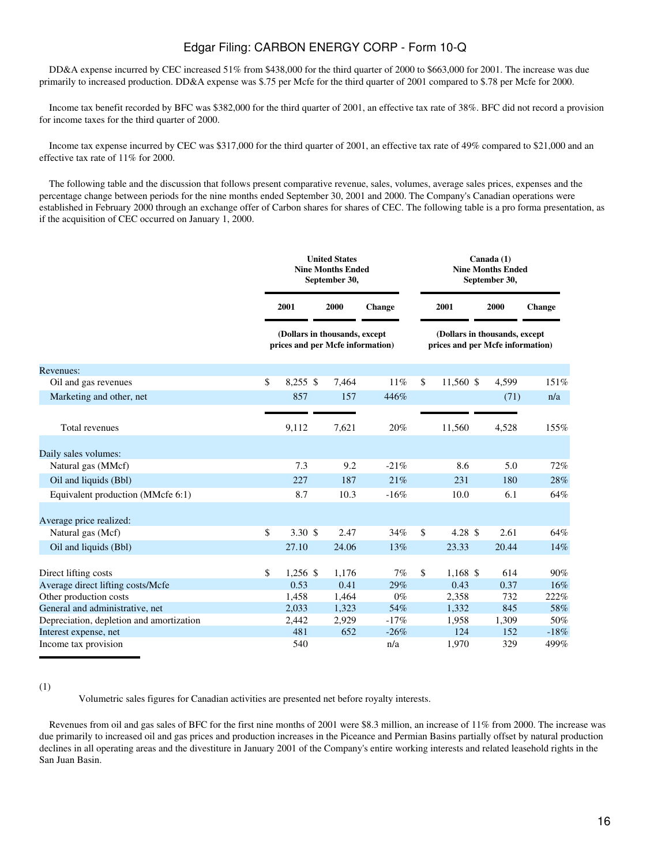DD&A expense incurred by CEC increased 51% from \$438,000 for the third quarter of 2000 to \$663,000 for 2001. The increase was due primarily to increased production. DD&A expense was \$.75 per Mcfe for the third quarter of 2001 compared to \$.78 per Mcfe for 2000.

 Income tax benefit recorded by BFC was \$382,000 for the third quarter of 2001, an effective tax rate of 38%. BFC did not record a provision for income taxes for the third quarter of 2000.

 Income tax expense incurred by CEC was \$317,000 for the third quarter of 2001, an effective tax rate of 49% compared to \$21,000 and an effective tax rate of 11% for 2000.

 The following table and the discussion that follows present comparative revenue, sales, volumes, average sales prices, expenses and the percentage change between periods for the nine months ended September 30, 2001 and 2000. The Company's Canadian operations were established in February 2000 through an exchange offer of Carbon shares for shares of CEC. The following table is a pro forma presentation, as if the acquisition of CEC occurred on January 1, 2000.

|                                          | <b>Nine Months Ended</b> |                   | <b>United States</b><br>September 30,                             |               |                  | Canada (1)<br><b>Nine Months Ended</b><br>September 30,           |               |
|------------------------------------------|--------------------------|-------------------|-------------------------------------------------------------------|---------------|------------------|-------------------------------------------------------------------|---------------|
|                                          |                          | 2001              | 2000                                                              | <b>Change</b> | 2001             | 2000                                                              | <b>Change</b> |
|                                          |                          |                   | (Dollars in thousands, except<br>prices and per Mcfe information) |               |                  | (Dollars in thousands, except<br>prices and per Mcfe information) |               |
| Revenues:                                |                          |                   |                                                                   |               |                  |                                                                   |               |
| Oil and gas revenues                     | \$                       | $8,255$ \$        | 7,464                                                             | 11%           | \$<br>11,560 \$  | 4,599                                                             | 151%          |
| Marketing and other, net                 |                          | 857               | 157                                                               | 446%          |                  | (71)                                                              | n/a           |
| Total revenues                           |                          | 9,112             | 7,621                                                             | 20%           | 11,560           | 4,528                                                             | 155%          |
| Daily sales volumes:                     |                          |                   |                                                                   |               |                  |                                                                   |               |
| Natural gas (MMcf)                       |                          | 7.3               | 9.2                                                               | $-21%$        | 8.6              | 5.0                                                               | 72%           |
| Oil and liquids (Bbl)                    |                          | 227               | 187                                                               | 21%           | 231              | 180                                                               | 28%           |
| Equivalent production (MMcfe 6:1)        |                          | 8.7               | 10.3                                                              | $-16%$        | 10.0             | 6.1                                                               | 64%           |
| Average price realized:                  |                          |                   |                                                                   |               |                  |                                                                   |               |
| Natural gas (Mcf)                        | \$                       | $3.30~\text{\AA}$ | 2.47                                                              | 34%           | \$<br>4.28 $$$   | 2.61                                                              | 64%           |
| Oil and liquids (Bbl)                    |                          | 27.10             | 24.06                                                             | 13%           | 23.33            | 20.44                                                             | 14%           |
| Direct lifting costs                     | \$                       | $1,256$ \$        | 1,176                                                             | 7%            | \$<br>$1,168$ \$ | 614                                                               | 90%           |
| Average direct lifting costs/Mcfe        |                          | 0.53              | 0.41                                                              | 29%           | 0.43             | 0.37                                                              | 16%           |
| Other production costs                   |                          | 1,458             | 1,464                                                             | $0\%$         | 2,358            | 732                                                               | 222%          |
| General and administrative, net          |                          | 2,033             | 1,323                                                             | 54%           | 1,332            | 845                                                               | 58%           |
| Depreciation, depletion and amortization |                          | 2,442             | 2,929                                                             | $-17%$        | 1,958            | 1,309                                                             | 50%           |
| Interest expense, net                    |                          | 481               | 652                                                               | $-26%$        | 124              | 152                                                               | $-18%$        |
| Income tax provision                     |                          | 540               |                                                                   | n/a           | 1,970            | 329                                                               | 499%          |

<sup>(1)</sup>

Volumetric sales figures for Canadian activities are presented net before royalty interests.

 Revenues from oil and gas sales of BFC for the first nine months of 2001 were \$8.3 million, an increase of 11% from 2000. The increase was due primarily to increased oil and gas prices and production increases in the Piceance and Permian Basins partially offset by natural production declines in all operating areas and the divestiture in January 2001 of the Company's entire working interests and related leasehold rights in the San Juan Basin.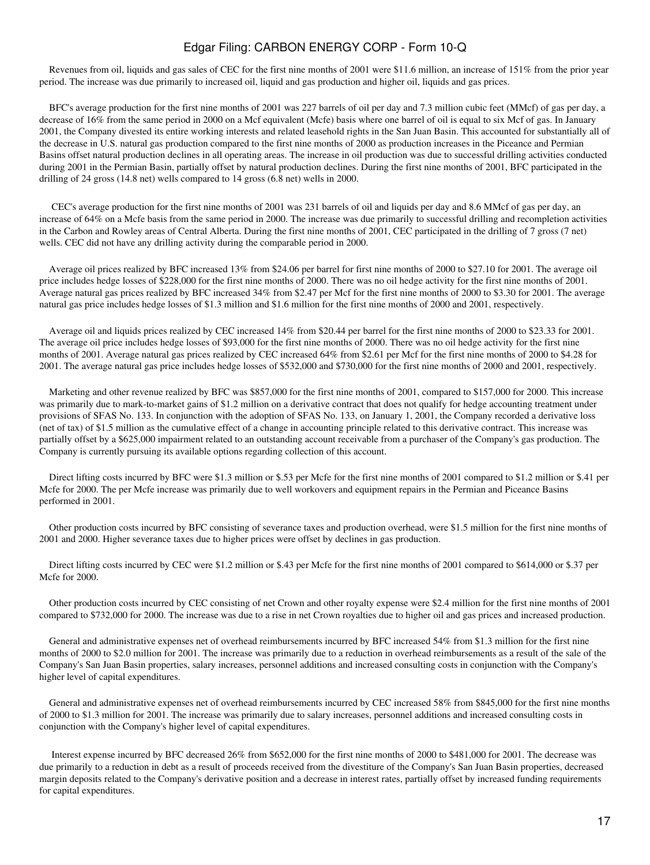Revenues from oil, liquids and gas sales of CEC for the first nine months of 2001 were \$11.6 million, an increase of 151% from the prior year period. The increase was due primarily to increased oil, liquid and gas production and higher oil, liquids and gas prices.

 BFC's average production for the first nine months of 2001 was 227 barrels of oil per day and 7.3 million cubic feet (MMcf) of gas per day, a decrease of 16% from the same period in 2000 on a Mcf equivalent (Mcfe) basis where one barrel of oil is equal to six Mcf of gas. In January 2001, the Company divested its entire working interests and related leasehold rights in the San Juan Basin. This accounted for substantially all of the decrease in U.S. natural gas production compared to the first nine months of 2000 as production increases in the Piceance and Permian Basins offset natural production declines in all operating areas. The increase in oil production was due to successful drilling activities conducted during 2001 in the Permian Basin, partially offset by natural production declines. During the first nine months of 2001, BFC participated in the drilling of 24 gross (14.8 net) wells compared to 14 gross (6.8 net) wells in 2000.

 CEC's average production for the first nine months of 2001 was 231 barrels of oil and liquids per day and 8.6 MMcf of gas per day, an increase of 64% on a Mcfe basis from the same period in 2000. The increase was due primarily to successful drilling and recompletion activities in the Carbon and Rowley areas of Central Alberta. During the first nine months of 2001, CEC participated in the drilling of 7 gross (7 net) wells. CEC did not have any drilling activity during the comparable period in 2000.

 Average oil prices realized by BFC increased 13% from \$24.06 per barrel for first nine months of 2000 to \$27.10 for 2001. The average oil price includes hedge losses of \$228,000 for the first nine months of 2000. There was no oil hedge activity for the first nine months of 2001. Average natural gas prices realized by BFC increased 34% from \$2.47 per Mcf for the first nine months of 2000 to \$3.30 for 2001. The average natural gas price includes hedge losses of \$1.3 million and \$1.6 million for the first nine months of 2000 and 2001, respectively.

 Average oil and liquids prices realized by CEC increased 14% from \$20.44 per barrel for the first nine months of 2000 to \$23.33 for 2001. The average oil price includes hedge losses of \$93,000 for the first nine months of 2000. There was no oil hedge activity for the first nine months of 2001. Average natural gas prices realized by CEC increased 64% from \$2.61 per Mcf for the first nine months of 2000 to \$4.28 for 2001. The average natural gas price includes hedge losses of \$532,000 and \$730,000 for the first nine months of 2000 and 2001, respectively.

 Marketing and other revenue realized by BFC was \$857,000 for the first nine months of 2001, compared to \$157,000 for 2000. This increase was primarily due to mark-to-market gains of \$1.2 million on a derivative contract that does not qualify for hedge accounting treatment under provisions of SFAS No. 133. In conjunction with the adoption of SFAS No. 133, on January 1, 2001, the Company recorded a derivative loss (net of tax) of \$1.5 million as the cumulative effect of a change in accounting principle related to this derivative contract. This increase was partially offset by a \$625,000 impairment related to an outstanding account receivable from a purchaser of the Company's gas production. The Company is currently pursuing its available options regarding collection of this account.

 Direct lifting costs incurred by BFC were \$1.3 million or \$.53 per Mcfe for the first nine months of 2001 compared to \$1.2 million or \$.41 per Mcfe for 2000. The per Mcfe increase was primarily due to well workovers and equipment repairs in the Permian and Piceance Basins performed in 2001.

 Other production costs incurred by BFC consisting of severance taxes and production overhead, were \$1.5 million for the first nine months of 2001 and 2000. Higher severance taxes due to higher prices were offset by declines in gas production.

 Direct lifting costs incurred by CEC were \$1.2 million or \$.43 per Mcfe for the first nine months of 2001 compared to \$614,000 or \$.37 per Mcfe for 2000.

 Other production costs incurred by CEC consisting of net Crown and other royalty expense were \$2.4 million for the first nine months of 2001 compared to \$732,000 for 2000. The increase was due to a rise in net Crown royalties due to higher oil and gas prices and increased production.

 General and administrative expenses net of overhead reimbursements incurred by BFC increased 54% from \$1.3 million for the first nine months of 2000 to \$2.0 million for 2001. The increase was primarily due to a reduction in overhead reimbursements as a result of the sale of the Company's San Juan Basin properties, salary increases, personnel additions and increased consulting costs in conjunction with the Company's higher level of capital expenditures.

 General and administrative expenses net of overhead reimbursements incurred by CEC increased 58% from \$845,000 for the first nine months of 2000 to \$1.3 million for 2001. The increase was primarily due to salary increases, personnel additions and increased consulting costs in conjunction with the Company's higher level of capital expenditures.

 Interest expense incurred by BFC decreased 26% from \$652,000 for the first nine months of 2000 to \$481,000 for 2001. The decrease was due primarily to a reduction in debt as a result of proceeds received from the divestiture of the Company's San Juan Basin properties, decreased margin deposits related to the Company's derivative position and a decrease in interest rates, partially offset by increased funding requirements for capital expenditures.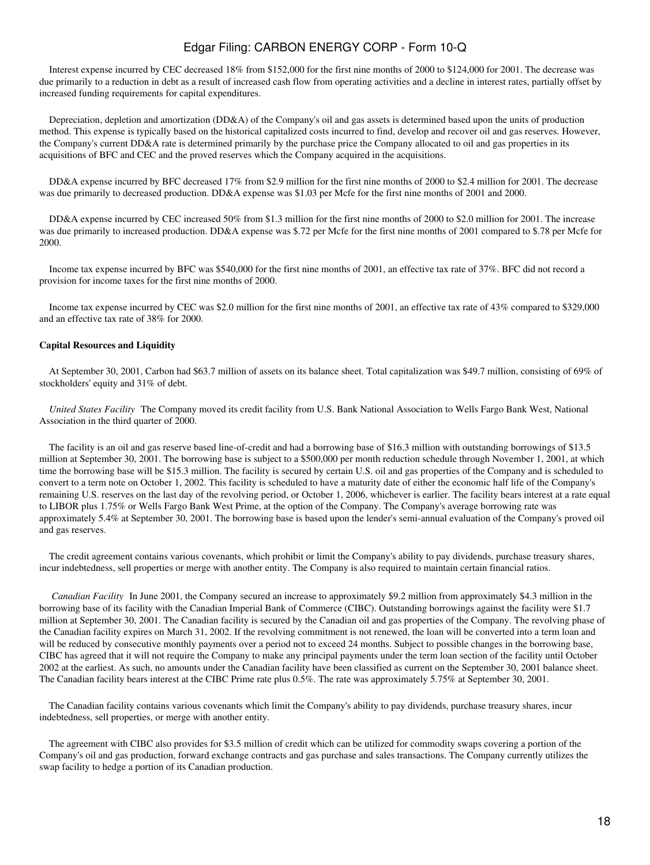Interest expense incurred by CEC decreased 18% from \$152,000 for the first nine months of 2000 to \$124,000 for 2001. The decrease was due primarily to a reduction in debt as a result of increased cash flow from operating activities and a decline in interest rates, partially offset by increased funding requirements for capital expenditures.

 Depreciation, depletion and amortization (DD&A) of the Company's oil and gas assets is determined based upon the units of production method. This expense is typically based on the historical capitalized costs incurred to find, develop and recover oil and gas reserves. However, the Company's current DD&A rate is determined primarily by the purchase price the Company allocated to oil and gas properties in its acquisitions of BFC and CEC and the proved reserves which the Company acquired in the acquisitions.

 DD&A expense incurred by BFC decreased 17% from \$2.9 million for the first nine months of 2000 to \$2.4 million for 2001. The decrease was due primarily to decreased production. DD&A expense was \$1.03 per Mcfe for the first nine months of 2001 and 2000.

 DD&A expense incurred by CEC increased 50% from \$1.3 million for the first nine months of 2000 to \$2.0 million for 2001. The increase was due primarily to increased production. DD&A expense was \$.72 per Mcfe for the first nine months of 2001 compared to \$.78 per Mcfe for 2000.

 Income tax expense incurred by BFC was \$540,000 for the first nine months of 2001, an effective tax rate of 37%. BFC did not record a provision for income taxes for the first nine months of 2000.

 Income tax expense incurred by CEC was \$2.0 million for the first nine months of 2001, an effective tax rate of 43% compared to \$329,000 and an effective tax rate of 38% for 2000.

#### **Capital Resources and Liquidity**

 At September 30, 2001, Carbon had \$63.7 million of assets on its balance sheet. Total capitalization was \$49.7 million, consisting of 69% of stockholders' equity and 31% of debt.

United States Facility The Company moved its credit facility from U.S. Bank National Association to Wells Fargo Bank West, National Association in the third quarter of 2000.

 The facility is an oil and gas reserve based line-of-credit and had a borrowing base of \$16.3 million with outstanding borrowings of \$13.5 million at September 30, 2001. The borrowing base is subject to a \$500,000 per month reduction schedule through November 1, 2001, at which time the borrowing base will be \$15.3 million. The facility is secured by certain U.S. oil and gas properties of the Company and is scheduled to convert to a term note on October 1, 2002. This facility is scheduled to have a maturity date of either the economic half life of the Company's remaining U.S. reserves on the last day of the revolving period, or October 1, 2006, whichever is earlier. The facility bears interest at a rate equal to LIBOR plus 1.75% or Wells Fargo Bank West Prime, at the option of the Company. The Company's average borrowing rate was approximately 5.4% at September 30, 2001. The borrowing base is based upon the lender's semi-annual evaluation of the Company's proved oil and gas reserves.

 The credit agreement contains various covenants, which prohibit or limit the Company's ability to pay dividends, purchase treasury shares, incur indebtedness, sell properties or merge with another entity. The Company is also required to maintain certain financial ratios.

*Canadian Facility* In June 2001, the Company secured an increase to approximately \$9.2 million from approximately \$4.3 million in the borrowing base of its facility with the Canadian Imperial Bank of Commerce (CIBC). Outstanding borrowings against the facility were \$1.7 million at September 30, 2001. The Canadian facility is secured by the Canadian oil and gas properties of the Company. The revolving phase of the Canadian facility expires on March 31, 2002. If the revolving commitment is not renewed, the loan will be converted into a term loan and will be reduced by consecutive monthly payments over a period not to exceed 24 months. Subject to possible changes in the borrowing base, CIBC has agreed that it will not require the Company to make any principal payments under the term loan section of the facility until October 2002 at the earliest. As such, no amounts under the Canadian facility have been classified as current on the September 30, 2001 balance sheet. The Canadian facility bears interest at the CIBC Prime rate plus 0.5%. The rate was approximately 5.75% at September 30, 2001.

 The Canadian facility contains various covenants which limit the Company's ability to pay dividends, purchase treasury shares, incur indebtedness, sell properties, or merge with another entity.

 The agreement with CIBC also provides for \$3.5 million of credit which can be utilized for commodity swaps covering a portion of the Company's oil and gas production, forward exchange contracts and gas purchase and sales transactions. The Company currently utilizes the swap facility to hedge a portion of its Canadian production.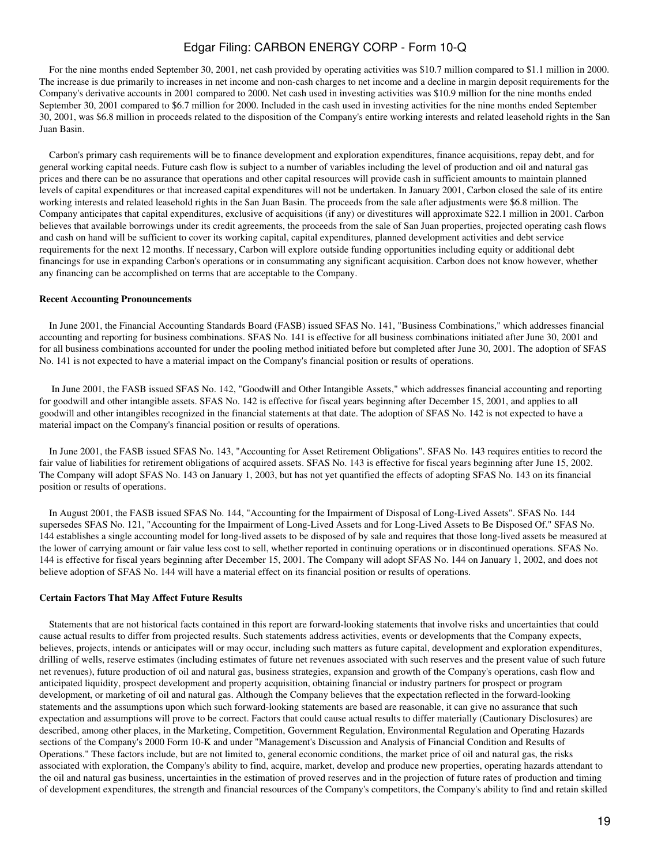For the nine months ended September 30, 2001, net cash provided by operating activities was \$10.7 million compared to \$1.1 million in 2000. The increase is due primarily to increases in net income and non-cash charges to net income and a decline in margin deposit requirements for the Company's derivative accounts in 2001 compared to 2000. Net cash used in investing activities was \$10.9 million for the nine months ended September 30, 2001 compared to \$6.7 million for 2000. Included in the cash used in investing activities for the nine months ended September 30, 2001, was \$6.8 million in proceeds related to the disposition of the Company's entire working interests and related leasehold rights in the San Juan Basin.

 Carbon's primary cash requirements will be to finance development and exploration expenditures, finance acquisitions, repay debt, and for general working capital needs. Future cash flow is subject to a number of variables including the level of production and oil and natural gas prices and there can be no assurance that operations and other capital resources will provide cash in sufficient amounts to maintain planned levels of capital expenditures or that increased capital expenditures will not be undertaken. In January 2001, Carbon closed the sale of its entire working interests and related leasehold rights in the San Juan Basin. The proceeds from the sale after adjustments were \$6.8 million. The Company anticipates that capital expenditures, exclusive of acquisitions (if any) or divestitures will approximate \$22.1 million in 2001. Carbon believes that available borrowings under its credit agreements, the proceeds from the sale of San Juan properties, projected operating cash flows and cash on hand will be sufficient to cover its working capital, capital expenditures, planned development activities and debt service requirements for the next 12 months. If necessary, Carbon will explore outside funding opportunities including equity or additional debt financings for use in expanding Carbon's operations or in consummating any significant acquisition. Carbon does not know however, whether any financing can be accomplished on terms that are acceptable to the Company.

#### **Recent Accounting Pronouncements**

 In June 2001, the Financial Accounting Standards Board (FASB) issued SFAS No. 141, "Business Combinations," which addresses financial accounting and reporting for business combinations. SFAS No. 141 is effective for all business combinations initiated after June 30, 2001 and for all business combinations accounted for under the pooling method initiated before but completed after June 30, 2001. The adoption of SFAS No. 141 is not expected to have a material impact on the Company's financial position or results of operations.

 In June 2001, the FASB issued SFAS No. 142, "Goodwill and Other Intangible Assets," which addresses financial accounting and reporting for goodwill and other intangible assets. SFAS No. 142 is effective for fiscal years beginning after December 15, 2001, and applies to all goodwill and other intangibles recognized in the financial statements at that date. The adoption of SFAS No. 142 is not expected to have a material impact on the Company's financial position or results of operations.

 In June 2001, the FASB issued SFAS No. 143, "Accounting for Asset Retirement Obligations". SFAS No. 143 requires entities to record the fair value of liabilities for retirement obligations of acquired assets. SFAS No. 143 is effective for fiscal years beginning after June 15, 2002. The Company will adopt SFAS No. 143 on January 1, 2003, but has not yet quantified the effects of adopting SFAS No. 143 on its financial position or results of operations.

 In August 2001, the FASB issued SFAS No. 144, "Accounting for the Impairment of Disposal of Long-Lived Assets". SFAS No. 144 supersedes SFAS No. 121, "Accounting for the Impairment of Long-Lived Assets and for Long-Lived Assets to Be Disposed Of." SFAS No. 144 establishes a single accounting model for long-lived assets to be disposed of by sale and requires that those long-lived assets be measured at the lower of carrying amount or fair value less cost to sell, whether reported in continuing operations or in discontinued operations. SFAS No. 144 is effective for fiscal years beginning after December 15, 2001. The Company will adopt SFAS No. 144 on January 1, 2002, and does not believe adoption of SFAS No. 144 will have a material effect on its financial position or results of operations.

#### **Certain Factors That May Affect Future Results**

 Statements that are not historical facts contained in this report are forward-looking statements that involve risks and uncertainties that could cause actual results to differ from projected results. Such statements address activities, events or developments that the Company expects, believes, projects, intends or anticipates will or may occur, including such matters as future capital, development and exploration expenditures, drilling of wells, reserve estimates (including estimates of future net revenues associated with such reserves and the present value of such future net revenues), future production of oil and natural gas, business strategies, expansion and growth of the Company's operations, cash flow and anticipated liquidity, prospect development and property acquisition, obtaining financial or industry partners for prospect or program development, or marketing of oil and natural gas. Although the Company believes that the expectation reflected in the forward-looking statements and the assumptions upon which such forward-looking statements are based are reasonable, it can give no assurance that such expectation and assumptions will prove to be correct. Factors that could cause actual results to differ materially (Cautionary Disclosures) are described, among other places, in the Marketing, Competition, Government Regulation, Environmental Regulation and Operating Hazards sections of the Company's 2000 Form 10-K and under "Management's Discussion and Analysis of Financial Condition and Results of Operations." These factors include, but are not limited to, general economic conditions, the market price of oil and natural gas, the risks associated with exploration, the Company's ability to find, acquire, market, develop and produce new properties, operating hazards attendant to the oil and natural gas business, uncertainties in the estimation of proved reserves and in the projection of future rates of production and timing of development expenditures, the strength and financial resources of the Company's competitors, the Company's ability to find and retain skilled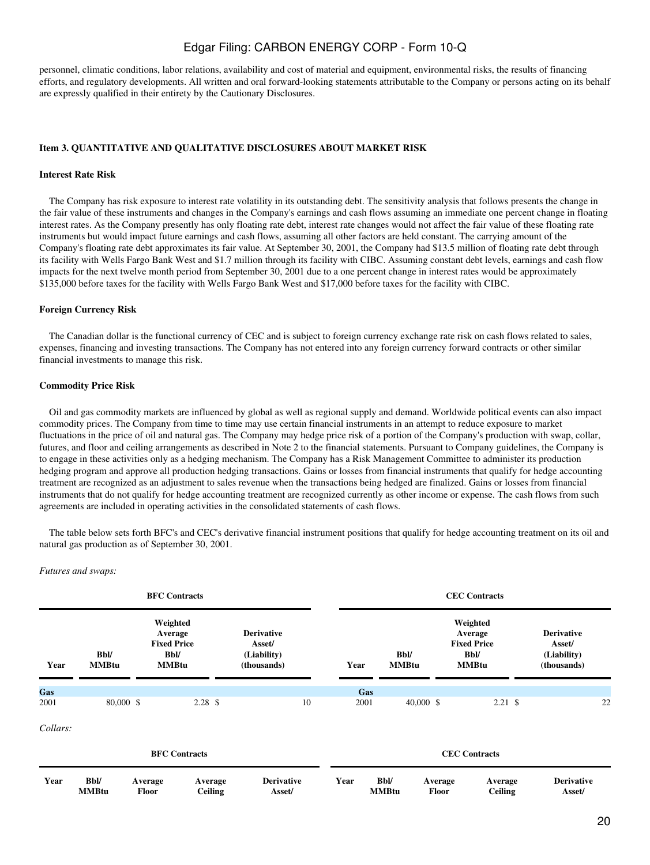personnel, climatic conditions, labor relations, availability and cost of material and equipment, environmental risks, the results of financing efforts, and regulatory developments. All written and oral forward-looking statements attributable to the Company or persons acting on its behalf are expressly qualified in their entirety by the Cautionary Disclosures.

#### <span id="page-19-0"></span>**Item 3. QUANTITATIVE AND QUALITATIVE DISCLOSURES ABOUT MARKET RISK**

### **Interest Rate Risk**

 The Company has risk exposure to interest rate volatility in its outstanding debt. The sensitivity analysis that follows presents the change in the fair value of these instruments and changes in the Company's earnings and cash flows assuming an immediate one percent change in floating interest rates. As the Company presently has only floating rate debt, interest rate changes would not affect the fair value of these floating rate instruments but would impact future earnings and cash flows, assuming all other factors are held constant. The carrying amount of the Company's floating rate debt approximates its fair value. At September 30, 2001, the Company had \$13.5 million of floating rate debt through its facility with Wells Fargo Bank West and \$1.7 million through its facility with CIBC. Assuming constant debt levels, earnings and cash flow impacts for the next twelve month period from September 30, 2001 due to a one percent change in interest rates would be approximately \$135,000 before taxes for the facility with Wells Fargo Bank West and \$17,000 before taxes for the facility with CIBC.

#### **Foreign Currency Risk**

 The Canadian dollar is the functional currency of CEC and is subject to foreign currency exchange rate risk on cash flows related to sales, expenses, financing and investing transactions. The Company has not entered into any foreign currency forward contracts or other similar financial investments to manage this risk.

#### **Commodity Price Risk**

 Oil and gas commodity markets are influenced by global as well as regional supply and demand. Worldwide political events can also impact commodity prices. The Company from time to time may use certain financial instruments in an attempt to reduce exposure to market fluctuations in the price of oil and natural gas. The Company may hedge price risk of a portion of the Company's production with swap, collar, futures, and floor and ceiling arrangements as described in Note 2 to the financial statements. Pursuant to Company guidelines, the Company is to engage in these activities only as a hedging mechanism. The Company has a Risk Management Committee to administer its production hedging program and approve all production hedging transactions. Gains or losses from financial instruments that qualify for hedge accounting treatment are recognized as an adjustment to sales revenue when the transactions being hedged are finalized. Gains or losses from financial instruments that do not qualify for hedge accounting treatment are recognized currently as other income or expense. The cash flows from such agreements are included in operating activities in the consolidated statements of cash flows.

 The table below sets forth BFC's and CEC's derivative financial instrument positions that qualify for hedge accounting treatment on its oil and natural gas production as of September 30, 2001.

#### *Futures and swaps:*

|          |                             |                                                                          | <b>BFC Contracts</b>      |                                                           |      |                             |                             | <b>CEC Contracts</b>                                                     |                                                           |    |
|----------|-----------------------------|--------------------------------------------------------------------------|---------------------------|-----------------------------------------------------------|------|-----------------------------|-----------------------------|--------------------------------------------------------------------------|-----------------------------------------------------------|----|
| Year     | <b>Bbl/</b><br><b>MMBtu</b> | Weighted<br>Average<br><b>Fixed Price</b><br><b>Bbl/</b><br><b>MMBtu</b> |                           | <b>Derivative</b><br>Asset/<br>(Liability)<br>(thousands) | Year |                             | <b>Bbl/</b><br><b>MMBtu</b> | Weighted<br>Average<br><b>Fixed Price</b><br><b>Bbl/</b><br><b>MMBtu</b> | <b>Derivative</b><br>Asset/<br>(Liability)<br>(thousands) |    |
| Gas      |                             |                                                                          |                           |                                                           |      | Gas                         |                             |                                                                          |                                                           |    |
| 2001     | 80,000 \$                   |                                                                          | $2.28$ \$                 | 10                                                        | 2001 |                             | $40,000$ \$                 | $2.21 \text{ }$ \$                                                       |                                                           | 22 |
| Collars: |                             |                                                                          |                           |                                                           |      |                             |                             |                                                                          |                                                           |    |
|          |                             |                                                                          | <b>BFC</b> Contracts      |                                                           |      |                             |                             | <b>CEC</b> Contracts                                                     |                                                           |    |
| Year     | Bbl/<br><b>MMBtu</b>        | Average<br><b>Floor</b>                                                  | Average<br><b>Ceiling</b> | <b>Derivative</b><br>Asset/                               | Year | <b>Bbl/</b><br><b>MMBtu</b> | Average<br>Floor            | Average<br><b>Ceiling</b>                                                | <b>Derivative</b><br>Asset/                               |    |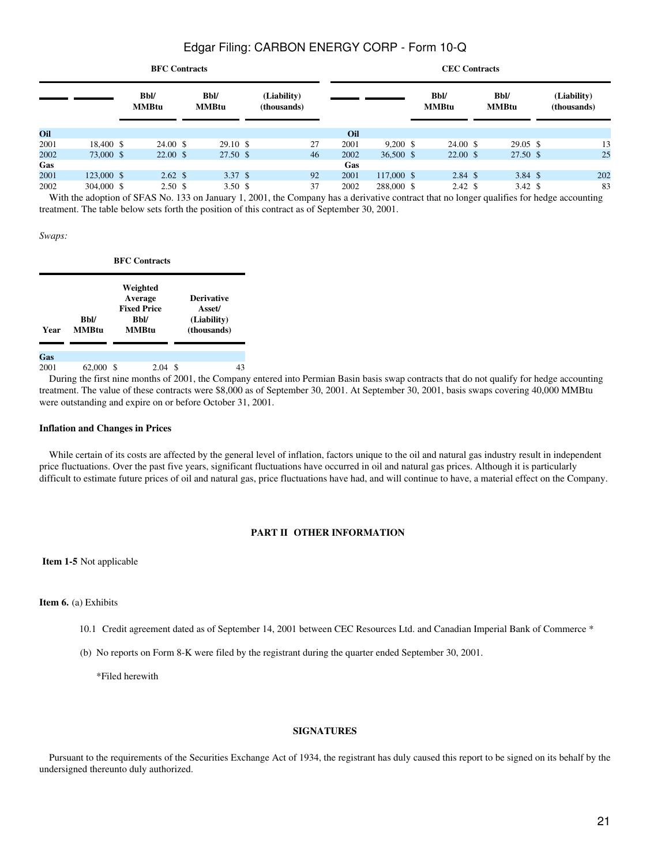|        |            | <b>BFC Contracts</b>        |                             |                            |    |      |             | <b>CEC Contracts</b>        |                             |                            |
|--------|------------|-----------------------------|-----------------------------|----------------------------|----|------|-------------|-----------------------------|-----------------------------|----------------------------|
|        |            | <b>Bbl/</b><br><b>MMBtu</b> | <b>Bbl/</b><br><b>MMBtu</b> | (Liability)<br>(thousands) |    |      |             | <b>Bbl/</b><br><b>MMBtu</b> | <b>Bbl/</b><br><b>MMBtu</b> | (Liability)<br>(thousands) |
| Oil    |            |                             |                             |                            |    | Oil  |             |                             |                             |                            |
| 2001   | 18,400 \$  | 24.00 \$                    | $29.10 \text{ }$ \$         |                            | 27 | 2001 | $9,200$ \$  | $24.00 \text{ }$ \$         | $29.05 \text{ }$ \$         | 13                         |
| 2002   | 73,000 \$  | $22.00 \text{ }$ \$         | 27.50 \$                    |                            | 46 | 2002 | $36,500$ \$ | $22.00 \text{ }$ \$         | 27.50 \$                    | 25                         |
| Gas    |            |                             |                             |                            |    | Gas  |             |                             |                             |                            |
| 2001   | 123,000 \$ | $2.62 \text{ }$             | 3.37 S                      |                            | 92 | 2001 | 117,000 \$  | $2.84 \text{ }$ \$          | $3.84 \text{ }$ \$          | 202                        |
| 2002   | 304,000 \$ | 2.50 <sup>°</sup>           | 3.50 <sup>5</sup>           |                            | 37 | 2002 | 288,000 \$  | $2.42 \text{ }$ \$          | $3.42 \text{ }$             | 83                         |
| ------ |            | .                           |                             | .                          |    |      |             |                             |                             |                            |

With the adoption of SFAS No. 133 on January 1, 2001, the Company has a derivative contract that no longer qualifies for hedge accounting treatment. The table below sets forth the position of this contract as of September 30, 2001.

#### *Swaps:*

**BFC Contracts**

| Year | <b>Bbl/</b><br><b>MMBtu</b> | Weighted<br>Average<br><b>Fixed Price</b><br>Bbl/<br><b>MMBtu</b> | <b>Derivative</b><br>Asset/<br>(Liability)<br>(thousands) |
|------|-----------------------------|-------------------------------------------------------------------|-----------------------------------------------------------|
| Gas  |                             |                                                                   |                                                           |
| 2001 | 62,000 \$                   | 2.04S                                                             | 43                                                        |

 During the first nine months of 2001, the Company entered into Permian Basin basis swap contracts that do not qualify for hedge accounting treatment. The value of these contracts were \$8,000 as of September 30, 2001. At September 30, 2001, basis swaps covering 40,000 MMBtu were outstanding and expire on or before October 31, 2001.

#### **Inflation and Changes in Prices**

 While certain of its costs are affected by the general level of inflation, factors unique to the oil and natural gas industry result in independent price fluctuations. Over the past five years, significant fluctuations have occurred in oil and natural gas prices. Although it is particularly difficult to estimate future prices of oil and natural gas, price fluctuations have had, and will continue to have, a material effect on the Company.

#### **PART II OTHER INFORMATION**

<span id="page-20-0"></span>**Item 1-5** Not applicable

#### **Item 6.** (a) Exhibits

10.1 Credit agreement dated as of September 14, 2001 between CEC Resources Ltd. and Canadian Imperial Bank of Commerce \*

(b) No reports on Form 8-K were filed by the registrant during the quarter ended September 30, 2001.

\*Filed herewith

#### **SIGNATURES**

 Pursuant to the requirements of the Securities Exchange Act of 1934, the registrant has duly caused this report to be signed on its behalf by the undersigned thereunto duly authorized.